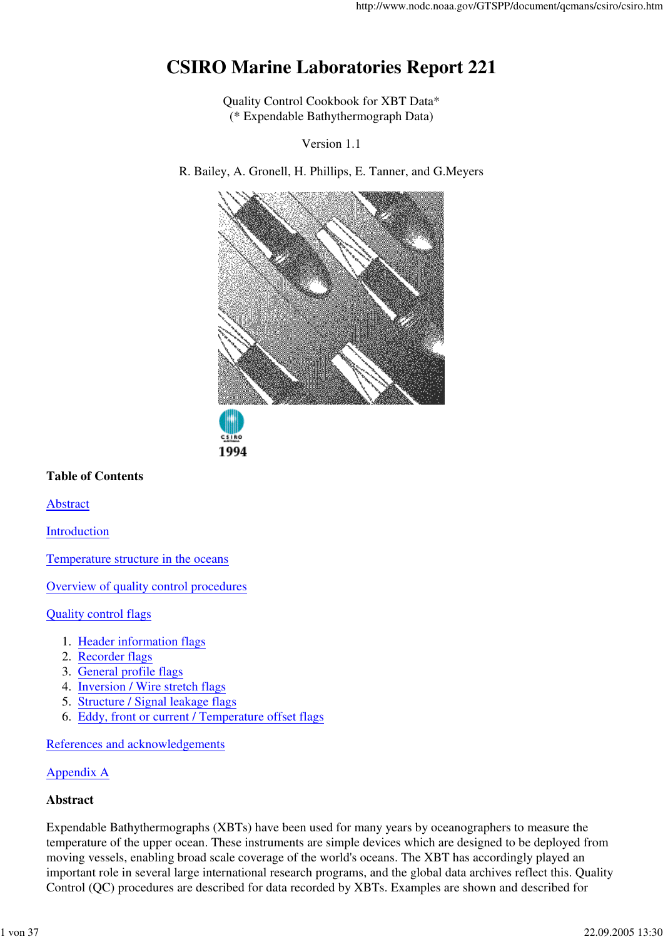# **CSIRO Marine Laboratories Report 221**

Quality Control Cookbook for XBT Data\* (\* Expendable Bathythermograph Data)

Version 1.1

R. Bailey, A. Gronell, H. Phillips, E. Tanner, and G.Meyers





### **Table of Contents**

Abstract

Introduction

Temperature structure in the oceans

Overview of quality control procedures

Quality control flags

- 1. Header information flags
- 2. Recorder flags
- 3. General profile flags
- 4. Inversion / Wire stretch flags
- 5. Structure / Signal leakage flags
- 6. Eddy, front or current / Temperature offset flags

References and acknowledgements

#### Appendix A

#### **Abstract**

Expendable Bathythermographs (XBTs) have been used for many years by oceanographers to measure the temperature of the upper ocean. These instruments are simple devices which are designed to be deployed from moving vessels, enabling broad scale coverage of the world's oceans. The XBT has accordingly played an important role in several large international research programs, and the global data archives reflect this. Quality Control (QC) procedures are described for data recorded by XBTs. Examples are shown and described for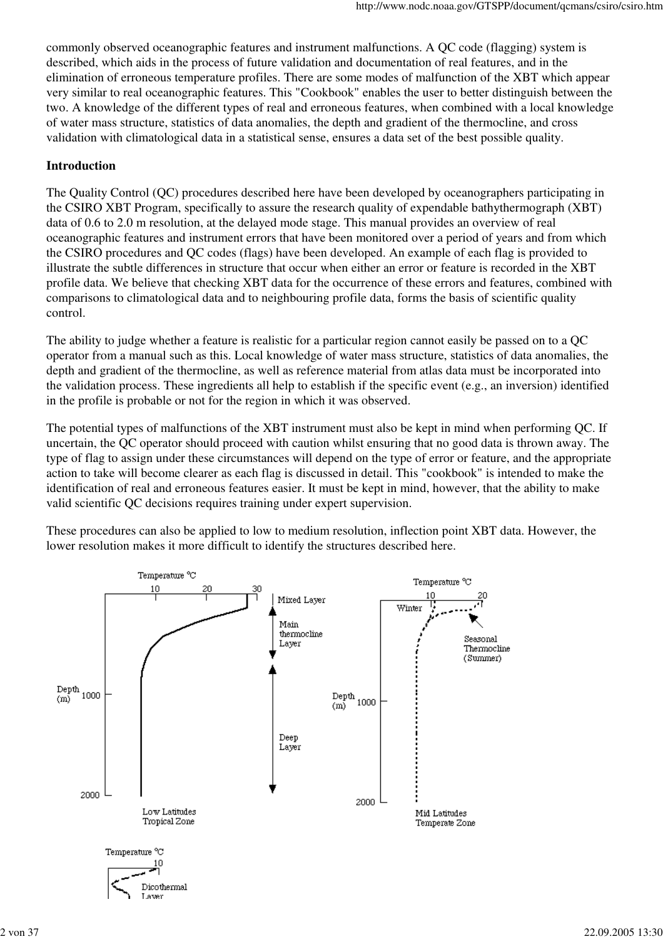commonly observed oceanographic features and instrument malfunctions. A QC code (flagging) system is described, which aids in the process of future validation and documentation of real features, and in the elimination of erroneous temperature profiles. There are some modes of malfunction of the XBT which appear very similar to real oceanographic features. This "Cookbook" enables the user to better distinguish between the two. A knowledge of the different types of real and erroneous features, when combined with a local knowledge of water mass structure, statistics of data anomalies, the depth and gradient of the thermocline, and cross validation with climatological data in a statistical sense, ensures a data set of the best possible quality.

#### **Introduction**

The Quality Control (QC) procedures described here have been developed by oceanographers participating in the CSIRO XBT Program, specifically to assure the research quality of expendable bathythermograph (XBT) data of 0.6 to 2.0 m resolution, at the delayed mode stage. This manual provides an overview of real oceanographic features and instrument errors that have been monitored over a period of years and from which the CSIRO procedures and QC codes (flags) have been developed. An example of each flag is provided to illustrate the subtle differences in structure that occur when either an error or feature is recorded in the XBT profile data. We believe that checking XBT data for the occurrence of these errors and features, combined with comparisons to climatological data and to neighbouring profile data, forms the basis of scientific quality control.

The ability to judge whether a feature is realistic for a particular region cannot easily be passed on to a QC operator from a manual such as this. Local knowledge of water mass structure, statistics of data anomalies, the depth and gradient of the thermocline, as well as reference material from atlas data must be incorporated into the validation process. These ingredients all help to establish if the specific event (e.g., an inversion) identified in the profile is probable or not for the region in which it was observed.

The potential types of malfunctions of the XBT instrument must also be kept in mind when performing QC. If uncertain, the QC operator should proceed with caution whilst ensuring that no good data is thrown away. The type of flag to assign under these circumstances will depend on the type of error or feature, and the appropriate action to take will become clearer as each flag is discussed in detail. This "cookbook" is intended to make the identification of real and erroneous features easier. It must be kept in mind, however, that the ability to make valid scientific QC decisions requires training under expert supervision.

These procedures can also be applied to low to medium resolution, inflection point XBT data. However, the lower resolution makes it more difficult to identify the structures described here.

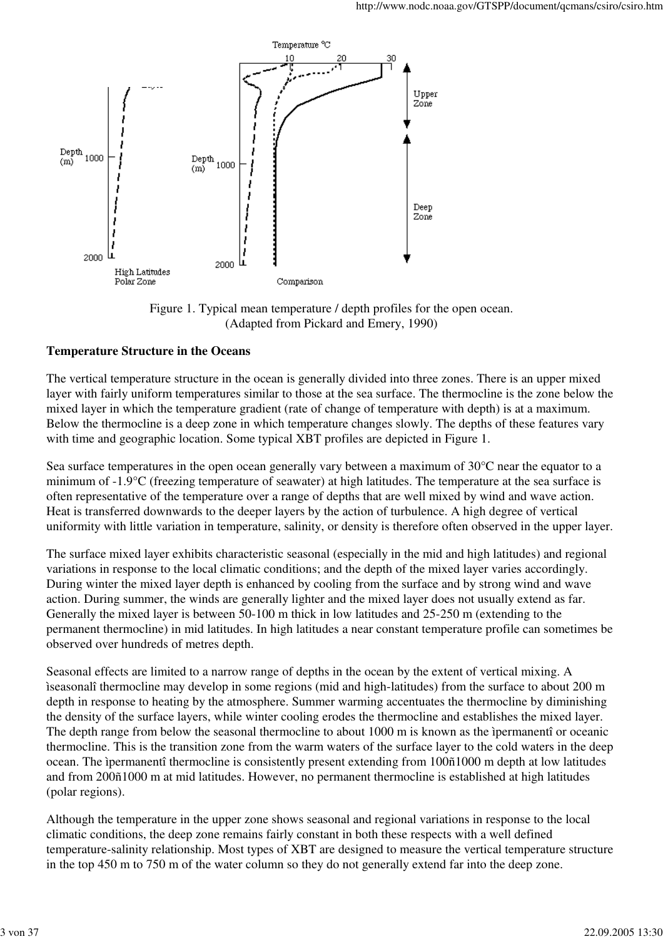

Figure 1. Typical mean temperature / depth profiles for the open ocean. (Adapted from Pickard and Emery, 1990)

#### **Temperature Structure in the Oceans**

The vertical temperature structure in the ocean is generally divided into three zones. There is an upper mixed layer with fairly uniform temperatures similar to those at the sea surface. The thermocline is the zone below the mixed layer in which the temperature gradient (rate of change of temperature with depth) is at a maximum. Below the thermocline is a deep zone in which temperature changes slowly. The depths of these features vary with time and geographic location. Some typical XBT profiles are depicted in Figure 1.

Sea surface temperatures in the open ocean generally vary between a maximum of 30°C near the equator to a minimum of -1.9°C (freezing temperature of seawater) at high latitudes. The temperature at the sea surface is often representative of the temperature over a range of depths that are well mixed by wind and wave action. Heat is transferred downwards to the deeper layers by the action of turbulence. A high degree of vertical uniformity with little variation in temperature, salinity, or density is therefore often observed in the upper layer.

The surface mixed layer exhibits characteristic seasonal (especially in the mid and high latitudes) and regional variations in response to the local climatic conditions; and the depth of the mixed layer varies accordingly. During winter the mixed layer depth is enhanced by cooling from the surface and by strong wind and wave action. During summer, the winds are generally lighter and the mixed layer does not usually extend as far. Generally the mixed layer is between 50-100 m thick in low latitudes and 25-250 m (extending to the permanent thermocline) in mid latitudes. In high latitudes a near constant temperature profile can sometimes be observed over hundreds of metres depth.

Seasonal effects are limited to a narrow range of depths in the ocean by the extent of vertical mixing. A ìseasonalî thermocline may develop in some regions (mid and high-latitudes) from the surface to about 200 m depth in response to heating by the atmosphere. Summer warming accentuates the thermocline by diminishing the density of the surface layers, while winter cooling erodes the thermocline and establishes the mixed layer. The depth range from below the seasonal thermocline to about 1000 m is known as the ìpermanentî or oceanic thermocline. This is the transition zone from the warm waters of the surface layer to the cold waters in the deep ocean. The ìpermanentî thermocline is consistently present extending from 100ñ1000 m depth at low latitudes and from 200ñ1000 m at mid latitudes. However, no permanent thermocline is established at high latitudes (polar regions).

Although the temperature in the upper zone shows seasonal and regional variations in response to the local climatic conditions, the deep zone remains fairly constant in both these respects with a well defined temperature-salinity relationship. Most types of XBT are designed to measure the vertical temperature structure in the top 450 m to 750 m of the water column so they do not generally extend far into the deep zone.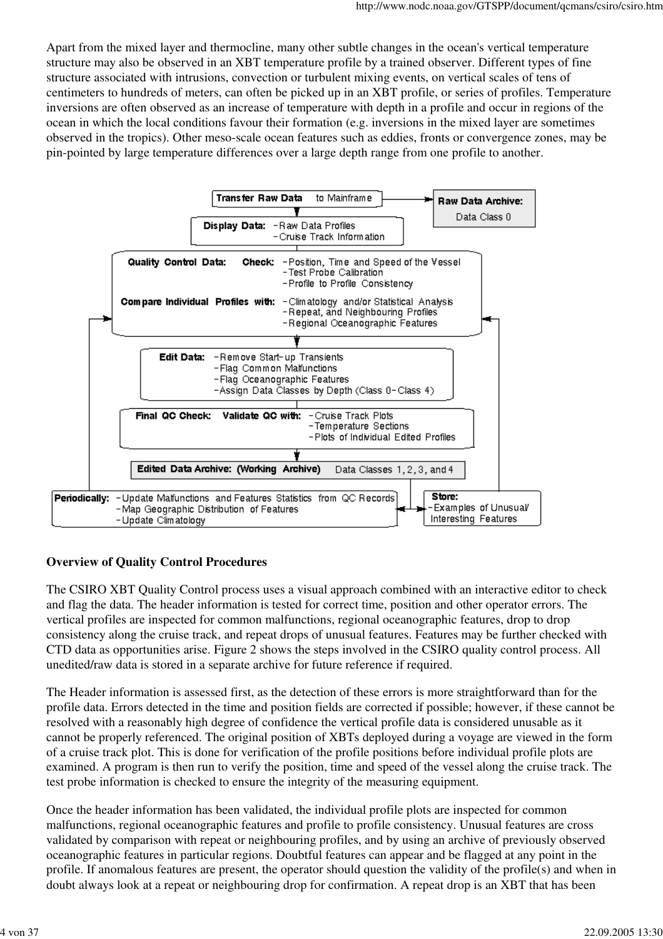Apart from the mixed layer and thermocline, many other subtle changes in the ocean's vertical temperature structure may also be observed in an XBT temperature profile by a trained observer. Different types of fine structure associated with intrusions, convection or turbulent mixing events, on vertical scales of tens of centimeters to hundreds of meters, can often be picked up in an XBT profile, or series of profiles. Temperature inversions are often observed as an increase of temperature with depth in a profile and occur in regions of the ocean in which the local conditions favour their formation (e.g. inversions in the mixed layer are sometimes observed in the tropics). Other meso-scale ocean features such as eddies, fronts or convergence zones, may be pin-pointed by large temperature differences over a large depth range from one profile to another.



## **Overview of Quality Control Procedures**

The CSIRO XBT Quality Control process uses a visual approach combined with an interactive editor to check and flag the data. The header information is tested for correct time, position and other operator errors. The vertical profiles are inspected for common malfunctions, regional oceanographic features, drop to drop consistency along the cruise track, and repeat drops of unusual features. Features may be further checked with CTD data as opportunities arise. Figure 2 shows the steps involved in the CSIRO quality control process. All unedited/raw data is stored in a separate archive for future reference if required.

The Header information is assessed first, as the detection of these errors is more straightforward than for the profile data. Errors detected in the time and position fields are corrected if possible; however, if these cannot be resolved with a reasonably high degree of confidence the vertical profile data is considered unusable as it cannot be properly referenced. The original position of XBTs deployed during a voyage are viewed in the form of a cruise track plot. This is done for verification of the profile positions before individual profile plots are examined. A program is then run to verify the position, time and speed of the vessel along the cruise track. The test probe information is checked to ensure the integrity of the measuring equipment.

Once the header information has been validated, the individual profile plots are inspected for common malfunctions, regional oceanographic features and profile to profile consistency. Unusual features are cross validated by comparison with repeat or neighbouring profiles, and by using an archive of previously observed oceanographic features in particular regions. Doubtful features can appear and be flagged at any point in the profile. If anomalous features are present, the operator should question the validity of the profile(s) and when in doubt always look at a repeat or neighbouring drop for confirmation. A repeat drop is an XBT that has been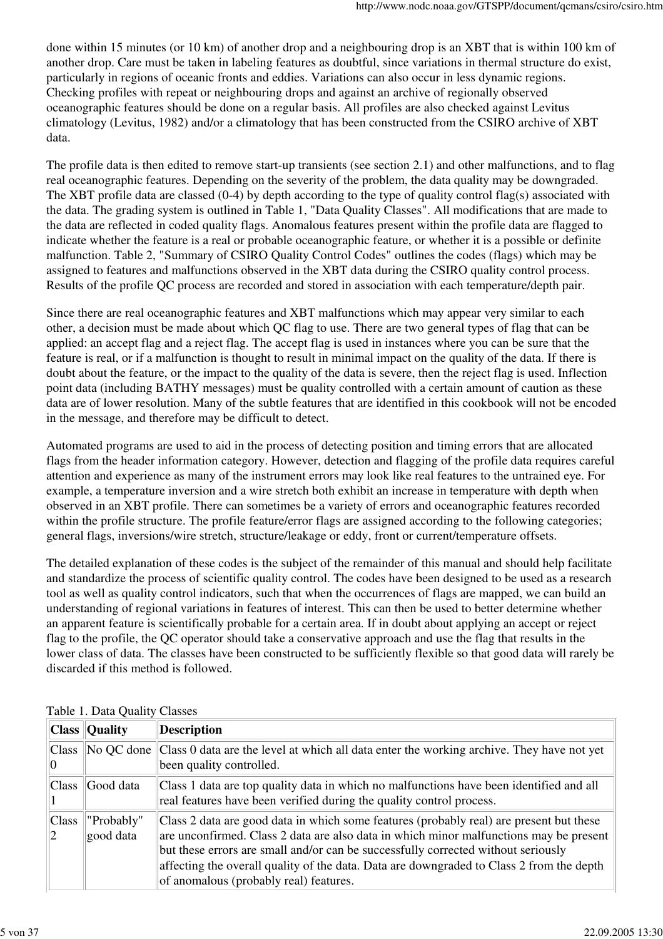done within 15 minutes (or 10 km) of another drop and a neighbouring drop is an XBT that is within 100 km of another drop. Care must be taken in labeling features as doubtful, since variations in thermal structure do exist, particularly in regions of oceanic fronts and eddies. Variations can also occur in less dynamic regions. Checking profiles with repeat or neighbouring drops and against an archive of regionally observed oceanographic features should be done on a regular basis. All profiles are also checked against Levitus climatology (Levitus, 1982) and/or a climatology that has been constructed from the CSIRO archive of XBT data.

The profile data is then edited to remove start-up transients (see section 2.1) and other malfunctions, and to flag real oceanographic features. Depending on the severity of the problem, the data quality may be downgraded. The XBT profile data are classed (0-4) by depth according to the type of quality control flag(s) associated with the data. The grading system is outlined in Table 1, "Data Quality Classes". All modifications that are made to the data are reflected in coded quality flags. Anomalous features present within the profile data are flagged to indicate whether the feature is a real or probable oceanographic feature, or whether it is a possible or definite malfunction. Table 2, "Summary of CSIRO Quality Control Codes" outlines the codes (flags) which may be assigned to features and malfunctions observed in the XBT data during the CSIRO quality control process. Results of the profile QC process are recorded and stored in association with each temperature/depth pair.

Since there are real oceanographic features and XBT malfunctions which may appear very similar to each other, a decision must be made about which QC flag to use. There are two general types of flag that can be applied: an accept flag and a reject flag. The accept flag is used in instances where you can be sure that the feature is real, or if a malfunction is thought to result in minimal impact on the quality of the data. If there is doubt about the feature, or the impact to the quality of the data is severe, then the reject flag is used. Inflection point data (including BATHY messages) must be quality controlled with a certain amount of caution as these data are of lower resolution. Many of the subtle features that are identified in this cookbook will not be encoded in the message, and therefore may be difficult to detect.

Automated programs are used to aid in the process of detecting position and timing errors that are allocated flags from the header information category. However, detection and flagging of the profile data requires careful attention and experience as many of the instrument errors may look like real features to the untrained eye. For example, a temperature inversion and a wire stretch both exhibit an increase in temperature with depth when observed in an XBT profile. There can sometimes be a variety of errors and oceanographic features recorded within the profile structure. The profile feature/error flags are assigned according to the following categories; general flags, inversions/wire stretch, structure/leakage or eddy, front or current/temperature offsets.

The detailed explanation of these codes is the subject of the remainder of this manual and should help facilitate and standardize the process of scientific quality control. The codes have been designed to be used as a research tool as well as quality control indicators, such that when the occurrences of flags are mapped, we can build an understanding of regional variations in features of interest. This can then be used to better determine whether an apparent feature is scientifically probable for a certain area. If in doubt about applying an accept or reject flag to the profile, the QC operator should take a conservative approach and use the flag that results in the lower class of data. The classes have been constructed to be sufficiently flexible so that good data will rarely be discarded if this method is followed.

|                    | <b>Class Quality</b>    | <b>Description</b>                                                                                                                                                                                                                                                                                                                                                                                           |
|--------------------|-------------------------|--------------------------------------------------------------------------------------------------------------------------------------------------------------------------------------------------------------------------------------------------------------------------------------------------------------------------------------------------------------------------------------------------------------|
| <b>Class</b>       | No QC done              | Class 0 data are the level at which all data enter the working archive. They have not yet<br>been quality controlled.                                                                                                                                                                                                                                                                                        |
| Class <sup>1</sup> | Good data               | Class 1 data are top quality data in which no malfunctions have been identified and all<br>real features have been verified during the quality control process.                                                                                                                                                                                                                                              |
| Class              | "Probably"<br>good data | Class 2 data are good data in which some features (probably real) are present but these<br>are unconfirmed. Class 2 data are also data in which minor malfunctions may be present<br>but these errors are small and/or can be successfully corrected without seriously<br>affecting the overall quality of the data. Data are downgraded to Class 2 from the depth<br>of anomalous (probably real) features. |

| Table 1. Data Quality Classes |  |
|-------------------------------|--|
|-------------------------------|--|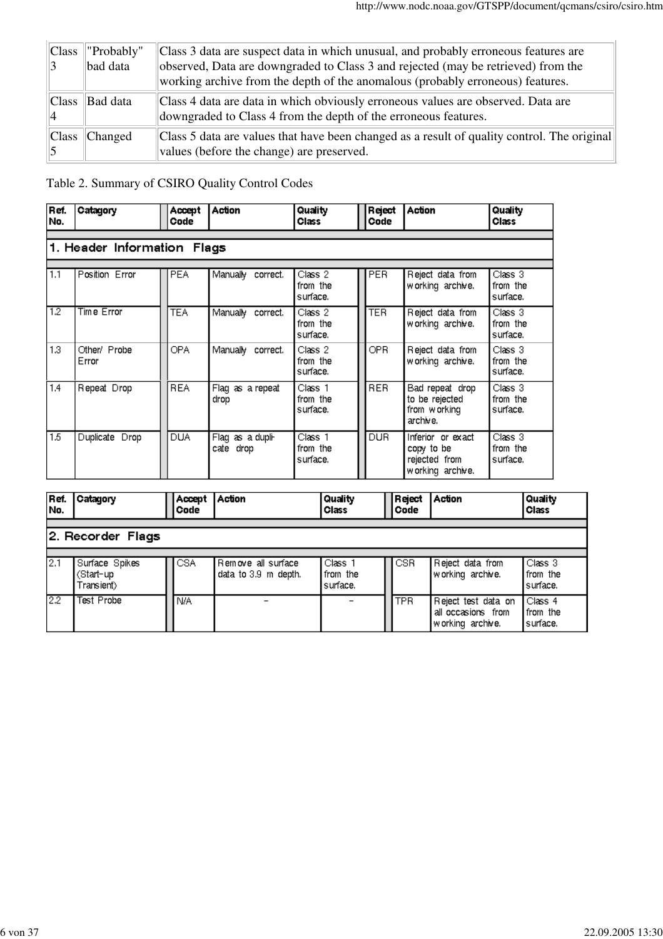| Class | "Probably"<br>bad data | Class 3 data are suspect data in which unusual, and probably erroneous features are<br>observed, Data are downgraded to Class 3 and rejected (may be retrieved) from the<br>working archive from the depth of the anomalous (probably erroneous) features. |
|-------|------------------------|------------------------------------------------------------------------------------------------------------------------------------------------------------------------------------------------------------------------------------------------------------|
| Class | Bad data               | Class 4 data are data in which obviously erroneous values are observed. Data are<br>downgraded to Class 4 from the depth of the erroneous features.                                                                                                        |
| Class | Changed                | Class 5 data are values that have been changed as a result of quality control. The original<br>values (before the change) are preserved.                                                                                                                   |

## Table 2. Summary of CSIRO Quality Control Codes

| Ref.<br>No.                 | Catagory              | Accept<br>Code | Action                        | Quality<br>Class                | Reject<br>Code | Action                                                               | Quality<br>Class                           |  |  |
|-----------------------------|-----------------------|----------------|-------------------------------|---------------------------------|----------------|----------------------------------------------------------------------|--------------------------------------------|--|--|
| 1. Header Information Flags |                       |                |                               |                                 |                |                                                                      |                                            |  |  |
| 1.1                         | Position Error        | <b>PEA</b>     | Manually<br>correct.          | Class 2<br>from the<br>surface. | PER.           | Reject data from<br>working archive.                                 | Class <sub>3</sub><br>from the<br>surface. |  |  |
| $\overline{1.2}$            | Time Error            | <b>TEA</b>     | Manually correct.             | Class 2<br>from the<br>surface. | <b>TER</b>     | Reject data from<br>working archive.                                 | Class <sub>3</sub><br>from the<br>surface. |  |  |
| 1.3 <sup>°</sup>            | Other/ Probe<br>Error | OPA            | Manually correct.             | Class 2<br>from the<br>surface. | OPR.           | Reject data from<br>working archive.                                 | Class <sub>3</sub><br>from the<br>surface. |  |  |
| 1.4                         | Repeat Drop           | <b>REA</b>     | Flag as a repeat<br>drop      | Class 1<br>from the<br>surface. | <b>RER</b>     | Bad repeat drop<br>to be rejected<br>from working<br>archive.        | Class 3<br>from the<br>surface.            |  |  |
| 1.5                         | Duplicate Drop        | DUA            | Flag as a dupli-<br>cate drop | Class 1<br>from the<br>surface. | <b>DUR</b>     | Inferior or exact<br>copy to be<br>rejected from<br>working archive. | Class <sub>3</sub><br>from the<br>surface. |  |  |

| Ref.<br>No. | Catagory                                  |  | Accept<br>Code | Action                                     | Quality<br>Class                |  | Reject<br>Code | Action                                                        | Quality<br>Class                           |
|-------------|-------------------------------------------|--|----------------|--------------------------------------------|---------------------------------|--|----------------|---------------------------------------------------------------|--------------------------------------------|
|             | 2. Recorder Flags                         |  |                |                                            |                                 |  |                |                                                               |                                            |
| 12.1        | Surface Spikes<br>(Start-up<br>Transient) |  | <b>CSA</b>     | Remove all surface<br>data to 3.9 m depth. | Class 1<br>from the<br>surface. |  | <b>CSR</b>     | Reject data from<br>working archive.                          | Class <sub>3</sub><br>from the<br>surface. |
| 2.2         | Test Probe                                |  | N/A            | $\overline{\phantom{0}}$                   |                                 |  | <b>TPR</b>     | Reject test data on<br>all occasions from<br>working archive. | Class 4<br>from the<br>surface.            |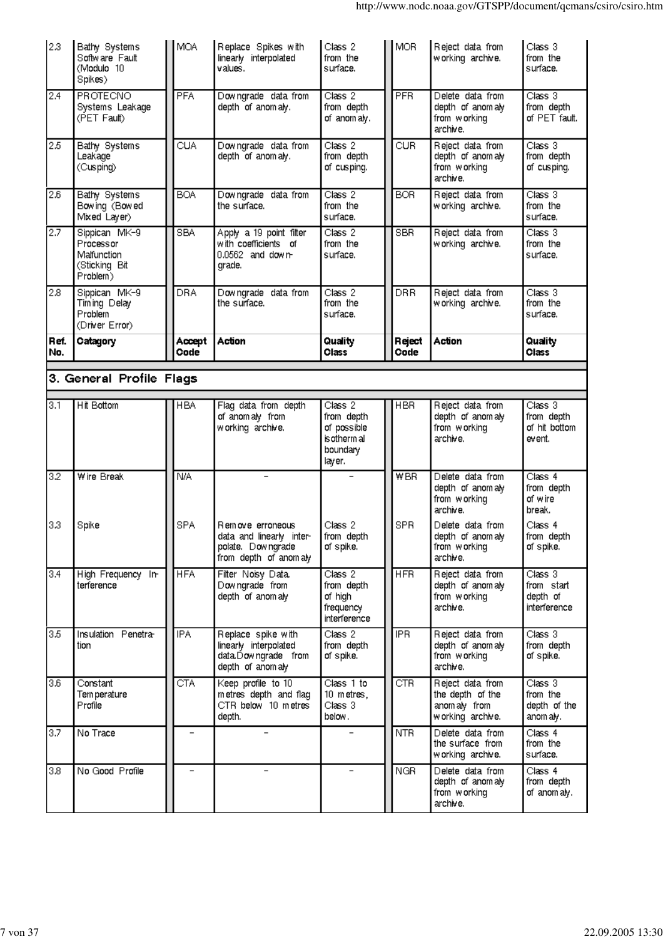| 2.3         | Bathy Systems<br>Software Fault<br>(Modulo 10<br>Spikes)               | <b>MOA</b>        | Replace Spikes with<br>linearly interpolated<br>values.                                | Class 2<br>from the<br>surface.                               | <b>MOR</b>               | Reject data from<br>working archive.                                                                                     | Class 3<br>from the<br>surface.                                                  |
|-------------|------------------------------------------------------------------------|-------------------|----------------------------------------------------------------------------------------|---------------------------------------------------------------|--------------------------|--------------------------------------------------------------------------------------------------------------------------|----------------------------------------------------------------------------------|
| 2.4         | PROTECNO<br>Systems Leakage<br>(PET Fault)                             | <b>PFA</b>        | Downgrade data from<br>depth of anomaly.                                               | Class 2<br>from depth<br>of anom aly.                         | PFR                      | Delete data from<br>depth of anomaly<br>from working<br>archive.                                                         | Class 3<br>from depth<br>of PET fault.                                           |
| 2.5         | Bathy Systems<br>Leakage<br>(Cusping)                                  | <b>CUA</b>        | Downgrade data from<br>depth of anomaly.                                               | Class 2<br>from depth<br>of cusping.                          | <b>CUR</b>               | Reject data from<br>depth of anomaly<br>from working<br>archive.                                                         | Class 3<br>from depth<br>of cusping.                                             |
| 2.6         | Bathy Systems<br>Bowing (Bowed<br>Mixed Layer)                         | <b>BOA</b>        | Downgrade data from<br>the surface.                                                    | Class 2<br>from the<br>surface.                               | <b>BOR</b>               | Reject data from<br>working archive.                                                                                     | Class 3<br>from the<br>surface.                                                  |
| 2.7         | Sippican MK-9<br>Processor<br>Malfunction<br>(Sticking Bit<br>Problem) | <b>SBA</b>        | Apply a 19 point filter<br>with coefficients of<br>$0.0562$ and down-<br>grade.        | Class 2<br>from the<br>surface.                               | <b>SBR</b>               | Reject data from<br>working archive.                                                                                     | Class 3<br>from the<br>surface.                                                  |
| 2.8         | Sippican MK-9<br>Timing Delay<br>Problem<br>(Driver Error)             | <b>DRA</b>        | Downgrade data from<br>the surface.                                                    | Class 2<br>from the<br>surface.                               | <b>DRR</b>               | Reject data from<br>working archive.                                                                                     | Class 3<br>from the<br>surface.                                                  |
| Ref.<br>No. | Catagory                                                               | Accept<br>Code    | Action                                                                                 | Quality<br>Class                                              | Reject<br>Code           | Action                                                                                                                   | Quality<br>Class                                                                 |
|             | 3. General Profile Flags                                               |                   |                                                                                        |                                                               |                          |                                                                                                                          |                                                                                  |
| 3.1         | Hit Bottom                                                             | <b>HBA</b>        | Flag data from depth<br>of anomaly from<br>working archive.                            | Class 2<br>from depth<br>of possible<br>is otherm all         | <b>HBR</b>               | Reject data from<br>depth of anomaly<br>from working<br>archive.                                                         | Class <sub>3</sub><br>from depth<br>of hit bottom<br>event.                      |
| 3.2         |                                                                        |                   |                                                                                        | boundary<br>layer.                                            |                          |                                                                                                                          |                                                                                  |
| 3.3         | Wire Break<br>Spike                                                    | N/A<br><b>SPA</b> | Remove erroneous<br>data and linearly inter-<br>polate. Downgrade                      | Class 2<br>from depth<br>of spike.                            | <b>WBR</b><br><b>SPR</b> | Delete data from<br>depth of anomaly<br>from working<br>archive.<br>Delete data from<br>depth of anomaly<br>from working | Class 4<br>from depth<br>of wire<br>break.<br>Class 4<br>from depth<br>of spike. |
| 3.4         | High Frequency In-<br>terference                                       | <b>HFA</b>        | from depth of anomaly<br>Filter Noisy Data.<br>Downgrade from<br>depth of anomaly      | Class 2<br>from depth<br>of high<br>frequency<br>interference | <b>HFR</b>               | archive.<br>Reject data from<br>depth of anomaly<br>from working<br>archive.                                             | Class 3<br>from start<br>depth of<br>interference                                |
| 3.5         | Insulation Penetra-<br>tion                                            | <b>IPA</b>        | Replace spike with<br>linearly interpolated<br>data.Downgrade from<br>depth of anomaly | Class 2<br>from depth<br>of spike.                            | <b>IPR</b>               | Reject data from<br>depth of anomaly<br>from working<br>archive.                                                         | Class 3<br>from depth<br>of spike.                                               |
| 3.6         | Constant<br>Tem perature<br>Profile                                    | <b>CTA</b>        | Keep profile to 10<br>metres depth and flag<br>CTR below 10 metres<br>depth.           | Class 1 to<br>10 metres,<br>Class 3<br>below.                 | CTR                      | Reject data from<br>the depth of the<br>anomaly from<br>working archive.                                                 | Class 3<br>from the<br>depth of the<br>anom aly.                                 |
| 3.7         | No Trace                                                               |                   |                                                                                        |                                                               | <b>NTR</b>               | Delete data from<br>the surface from<br>working archive.                                                                 | Class 4<br>from the<br>surface.                                                  |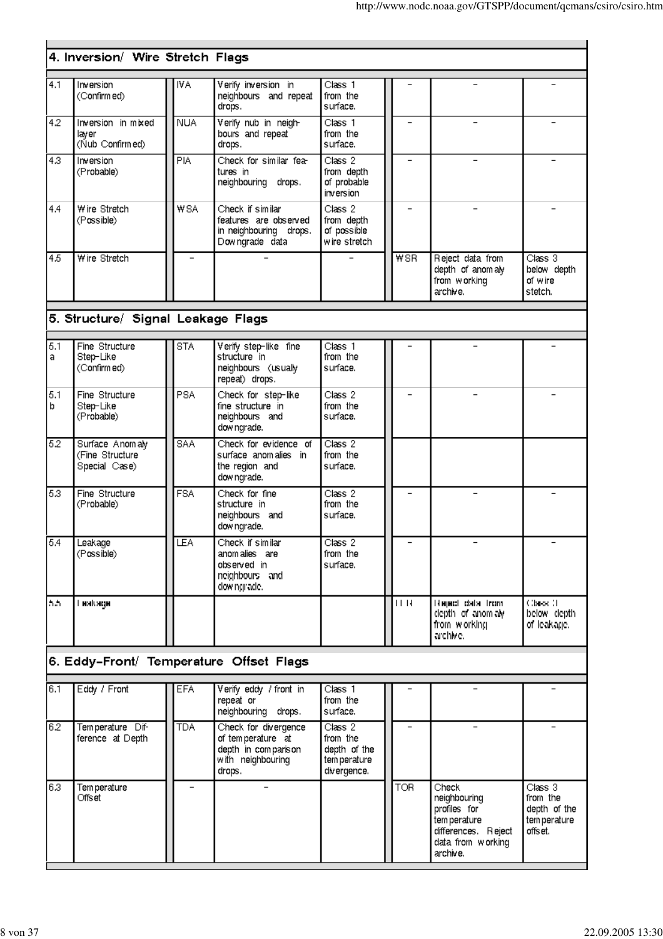|          | 4. Inversion/ Wire Stretch Flags                    |                          |                                                                                                 |                                                                    |                          |                                                                                                               |                                                                |
|----------|-----------------------------------------------------|--------------------------|-------------------------------------------------------------------------------------------------|--------------------------------------------------------------------|--------------------------|---------------------------------------------------------------------------------------------------------------|----------------------------------------------------------------|
|          |                                                     |                          |                                                                                                 |                                                                    |                          |                                                                                                               |                                                                |
| 4.1      | Inversion<br>(Confirmed)                            | IVA                      | Verify inversion in<br>neighbours and repeat<br>drops.                                          | Class 1<br>from the<br>surface.                                    |                          |                                                                                                               |                                                                |
| 4.2      | Inversion in mixed<br>laver<br>(Nub Confirmed)      | <b>NUA</b>               | Verify nub in neigh-<br>bours and repeat<br>drops.                                              | Class 1<br>from the<br>surface.                                    |                          |                                                                                                               |                                                                |
| 4.3      | Inversion<br>(Probable)                             | PIA                      | Check for similar fea-<br>tures in<br>neighbouring drops.                                       | Class 2<br>from depth<br>of probable<br>inversion                  | $\overline{\phantom{0}}$ |                                                                                                               |                                                                |
| 4.4      | Wire Stretch<br>(Possible)                          | <b>WSA</b>               | Check if similar<br>features are observed<br>in neighbouring drops.<br>Downgrade data           | Class 2<br>from depth<br>of possible<br>wire stretch               |                          |                                                                                                               |                                                                |
| 4.5      | Wire Stretch                                        | $\overline{\phantom{0}}$ |                                                                                                 |                                                                    | <b>WSR</b>               | Reject data from<br>depth of anomaly<br>from working<br>archive.                                              | Class 3<br>below depth<br>of wire<br>stetch.                   |
|          | 5. Structure/ Signal Leakage Flags                  |                          |                                                                                                 |                                                                    |                          |                                                                                                               |                                                                |
| 5.1      | Fine Structure                                      | <b>STA</b>               | Verify step-like fine                                                                           | Class 1                                                            |                          |                                                                                                               |                                                                |
| a        | Step-Like<br>(Confirmed)                            |                          | structure in<br>neighbours (usually<br>repeat) drops.                                           | from the<br>surface.                                               |                          |                                                                                                               |                                                                |
| 5.1<br>b | Fine Structure<br>Step-Like<br>(Probable)           | PSA                      | Check for step-like<br>fine structure in<br>neighbours and<br>downgrade.                        | Class 2<br>from the<br>surface.                                    |                          |                                                                                                               |                                                                |
| 5.2      | Surface Anomaly<br>(Fine Structure<br>Special Case) | <b>SAA</b>               | Check for evidence of<br>surface anomalies in<br>the region and<br>dow ngrade.                  | Class 2<br>from the<br>surface.                                    |                          |                                                                                                               |                                                                |
| 5.3      | Fine Structure<br>(Probable)                        | FSA                      | Check for fine<br>structure in<br>neighbours and<br>dow ngrade.                                 | Class 2<br>from the<br>surface.                                    |                          |                                                                                                               |                                                                |
| 5.4      | Leakage<br>(Possible)                               | LEA                      | Check if similar<br>anom alies are<br>observed in<br>neighbours and<br>dowingrade.              | Class 2<br>from the<br>surface.                                    |                          |                                                                                                               |                                                                |
| h.h.     | і накадн                                            |                          |                                                                                                 |                                                                    | $   \cdot   $            | <b>Hapach data from</b><br>depth of anomaly.<br>from working<br>archive.                                      | Class II<br>below depth.<br>of leakage.                        |
|          |                                                     |                          | 6. Eddy-Front/ Temperature Offset Flags                                                         |                                                                    |                          |                                                                                                               |                                                                |
| 6.1      | Eddy / Front                                        | EFA                      | Verify eddy / front in                                                                          | Class 1                                                            |                          |                                                                                                               |                                                                |
|          |                                                     |                          | repeat or<br>neighbouring drops.                                                                | from the<br>surface.                                               |                          |                                                                                                               |                                                                |
| 6.2      | Temperature Dif-<br>ference at Depth                | <b>TDA</b>               | Check for divergence<br>of temperature at<br>depth in comparison<br>with neighbouring<br>drops. | Class 2<br>from the<br>depth of the<br>tem perature<br>divergence. |                          |                                                                                                               |                                                                |
| 6.3      | Tem perature<br>Offset                              | $\overline{\phantom{0}}$ |                                                                                                 |                                                                    | <b>TOR</b>               | Check<br>neighbouring<br>profiles for<br>tem perature<br>differences. Reject<br>data from working<br>archive. | Class 3<br>from the<br>depth of the<br>tem perature<br>offset. |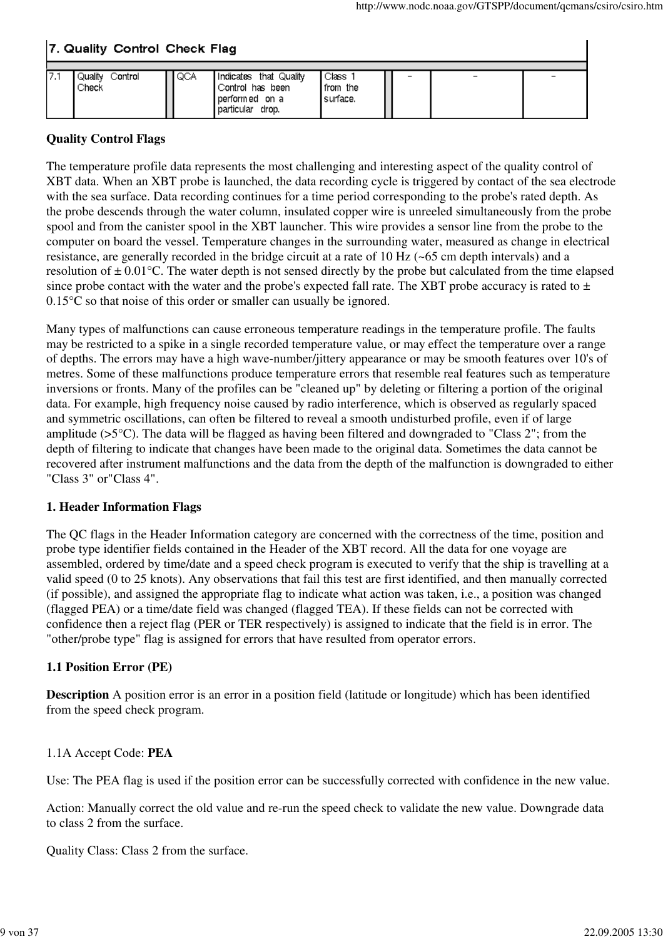$\overline{\phantom{a}}$ 

## 7. Quality Control Check Flag

| Quality<br>Control<br>Check | QCA | Indicates that Quality<br>Control has been<br>performed on a<br>particular drop. | Class<br>from the<br>surface. | - |  |
|-----------------------------|-----|----------------------------------------------------------------------------------|-------------------------------|---|--|

### **Quality Control Flags**

The temperature profile data represents the most challenging and interesting aspect of the quality control of XBT data. When an XBT probe is launched, the data recording cycle is triggered by contact of the sea electrode with the sea surface. Data recording continues for a time period corresponding to the probe's rated depth. As the probe descends through the water column, insulated copper wire is unreeled simultaneously from the probe spool and from the canister spool in the XBT launcher. This wire provides a sensor line from the probe to the computer on board the vessel. Temperature changes in the surrounding water, measured as change in electrical resistance, are generally recorded in the bridge circuit at a rate of 10 Hz (~65 cm depth intervals) and a resolution of  $\pm 0.01$ °C. The water depth is not sensed directly by the probe but calculated from the time elapsed since probe contact with the water and the probe's expected fall rate. The XBT probe accuracy is rated to  $\pm$ 0.15°C so that noise of this order or smaller can usually be ignored.

Many types of malfunctions can cause erroneous temperature readings in the temperature profile. The faults may be restricted to a spike in a single recorded temperature value, or may effect the temperature over a range of depths. The errors may have a high wave-number/jittery appearance or may be smooth features over 10's of metres. Some of these malfunctions produce temperature errors that resemble real features such as temperature inversions or fronts. Many of the profiles can be "cleaned up" by deleting or filtering a portion of the original data. For example, high frequency noise caused by radio interference, which is observed as regularly spaced and symmetric oscillations, can often be filtered to reveal a smooth undisturbed profile, even if of large amplitude (>5°C). The data will be flagged as having been filtered and downgraded to "Class 2"; from the depth of filtering to indicate that changes have been made to the original data. Sometimes the data cannot be recovered after instrument malfunctions and the data from the depth of the malfunction is downgraded to either "Class 3" or"Class 4".

#### **1. Header Information Flags**

The QC flags in the Header Information category are concerned with the correctness of the time, position and probe type identifier fields contained in the Header of the XBT record. All the data for one voyage are assembled, ordered by time/date and a speed check program is executed to verify that the ship is travelling at a valid speed (0 to 25 knots). Any observations that fail this test are first identified, and then manually corrected (if possible), and assigned the appropriate flag to indicate what action was taken, i.e., a position was changed (flagged PEA) or a time/date field was changed (flagged TEA). If these fields can not be corrected with confidence then a reject flag (PER or TER respectively) is assigned to indicate that the field is in error. The "other/probe type" flag is assigned for errors that have resulted from operator errors.

## **1.1 Position Error (PE)**

**Description** A position error is an error in a position field (latitude or longitude) which has been identified from the speed check program.

#### 1.1A Accept Code: **PEA**

Use: The PEA flag is used if the position error can be successfully corrected with confidence in the new value.

Action: Manually correct the old value and re-run the speed check to validate the new value. Downgrade data to class 2 from the surface.

Quality Class: Class 2 from the surface.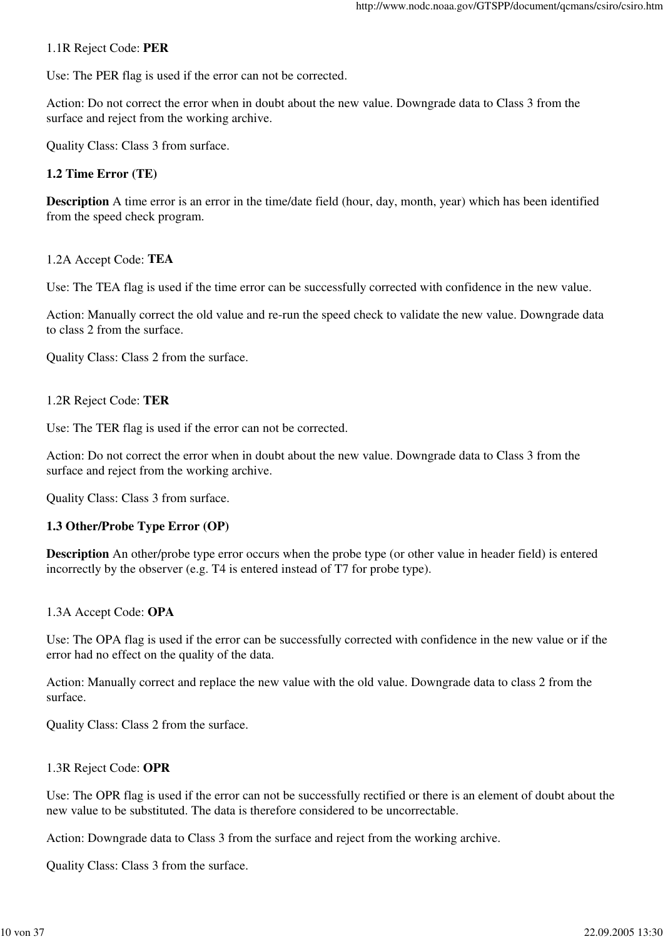#### 1.1R Reject Code: **PER**

Use: The PER flag is used if the error can not be corrected.

Action: Do not correct the error when in doubt about the new value. Downgrade data to Class 3 from the surface and reject from the working archive.

Quality Class: Class 3 from surface.

#### **1.2 Time Error (TE)**

**Description** A time error is an error in the time/date field (hour, day, month, year) which has been identified from the speed check program.

1.2A Accept Code: **TEA**

Use: The TEA flag is used if the time error can be successfully corrected with confidence in the new value.

Action: Manually correct the old value and re-run the speed check to validate the new value. Downgrade data to class 2 from the surface.

Quality Class: Class 2 from the surface.

#### 1.2R Reject Code: **TER**

Use: The TER flag is used if the error can not be corrected.

Action: Do not correct the error when in doubt about the new value. Downgrade data to Class 3 from the surface and reject from the working archive.

Quality Class: Class 3 from surface.

#### **1.3 Other/Probe Type Error (OP)**

**Description** An other/probe type error occurs when the probe type (or other value in header field) is entered incorrectly by the observer (e.g. T4 is entered instead of T7 for probe type).

#### 1.3A Accept Code: **OPA**

Use: The OPA flag is used if the error can be successfully corrected with confidence in the new value or if the error had no effect on the quality of the data.

Action: Manually correct and replace the new value with the old value. Downgrade data to class 2 from the surface.

Quality Class: Class 2 from the surface.

#### 1.3R Reject Code: **OPR**

Use: The OPR flag is used if the error can not be successfully rectified or there is an element of doubt about the new value to be substituted. The data is therefore considered to be uncorrectable.

Action: Downgrade data to Class 3 from the surface and reject from the working archive.

Quality Class: Class 3 from the surface.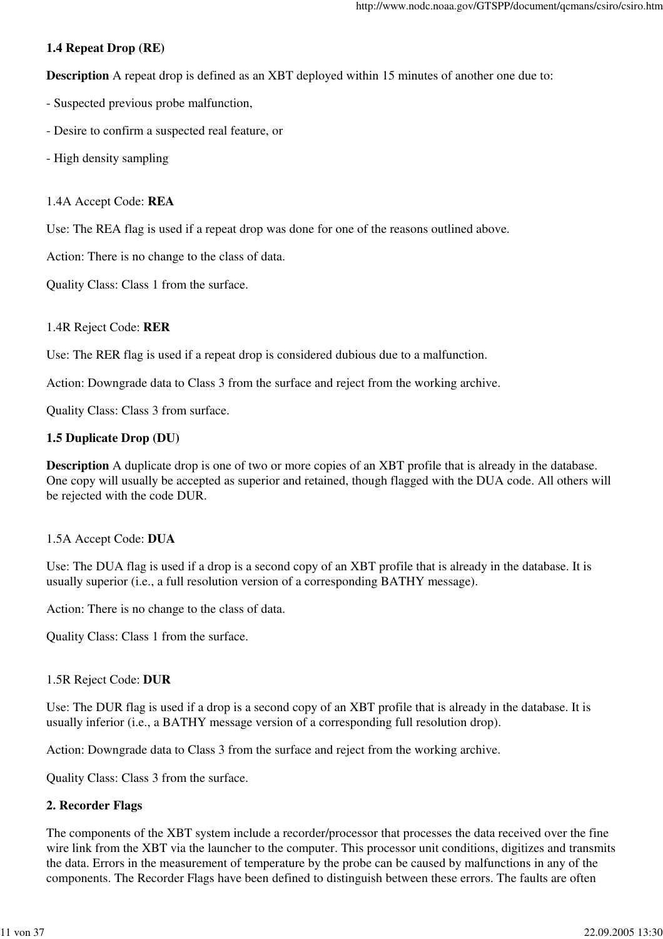### **1.4 Repeat Drop (RE)**

**Description** A repeat drop is defined as an XBT deployed within 15 minutes of another one due to:

- Suspected previous probe malfunction,
- Desire to confirm a suspected real feature, or
- High density sampling

#### 1.4A Accept Code: **REA**

Use: The REA flag is used if a repeat drop was done for one of the reasons outlined above.

Action: There is no change to the class of data.

Quality Class: Class 1 from the surface.

### 1.4R Reject Code: **RER**

Use: The RER flag is used if a repeat drop is considered dubious due to a malfunction.

Action: Downgrade data to Class 3 from the surface and reject from the working archive.

Quality Class: Class 3 from surface.

### **1.5 Duplicate Drop (DU)**

**Description** A duplicate drop is one of two or more copies of an XBT profile that is already in the database. One copy will usually be accepted as superior and retained, though flagged with the DUA code. All others will be rejected with the code DUR.

#### 1.5A Accept Code: **DUA**

Use: The DUA flag is used if a drop is a second copy of an XBT profile that is already in the database. It is usually superior (i.e., a full resolution version of a corresponding BATHY message).

Action: There is no change to the class of data.

Quality Class: Class 1 from the surface.

#### 1.5R Reject Code: **DUR**

Use: The DUR flag is used if a drop is a second copy of an XBT profile that is already in the database. It is usually inferior (i.e., a BATHY message version of a corresponding full resolution drop).

Action: Downgrade data to Class 3 from the surface and reject from the working archive.

Quality Class: Class 3 from the surface.

## **2. Recorder Flags**

The components of the XBT system include a recorder/processor that processes the data received over the fine wire link from the XBT via the launcher to the computer. This processor unit conditions, digitizes and transmits the data. Errors in the measurement of temperature by the probe can be caused by malfunctions in any of the components. The Recorder Flags have been defined to distinguish between these errors. The faults are often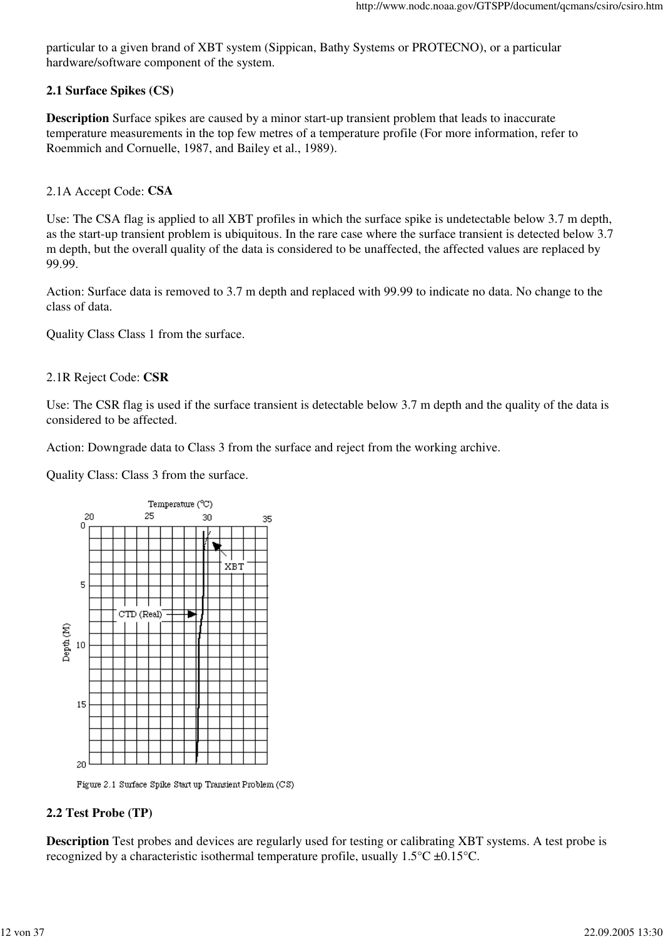particular to a given brand of XBT system (Sippican, Bathy Systems or PROTECNO), or a particular hardware/software component of the system.

### **2.1 Surface Spikes (CS)**

**Description** Surface spikes are caused by a minor start-up transient problem that leads to inaccurate temperature measurements in the top few metres of a temperature profile (For more information, refer to Roemmich and Cornuelle, 1987, and Bailey et al., 1989).

### 2.1A Accept Code: **CSA**

Use: The CSA flag is applied to all XBT profiles in which the surface spike is undetectable below 3.7 m depth, as the start-up transient problem is ubiquitous. In the rare case where the surface transient is detected below 3.7 m depth, but the overall quality of the data is considered to be unaffected, the affected values are replaced by 99.99.

Action: Surface data is removed to 3.7 m depth and replaced with 99.99 to indicate no data. No change to the class of data.

Quality Class Class 1 from the surface.

#### 2.1R Reject Code: **CSR**

Use: The CSR flag is used if the surface transient is detectable below 3.7 m depth and the quality of the data is considered to be affected.

Action: Downgrade data to Class 3 from the surface and reject from the working archive.

Quality Class: Class 3 from the surface.



Figure 2.1 Surface Spike Start up Transient Problem (CS)

#### **2.2 Test Probe (TP)**

**Description** Test probes and devices are regularly used for testing or calibrating XBT systems. A test probe is recognized by a characteristic isothermal temperature profile, usually 1.5°C ±0.15°C.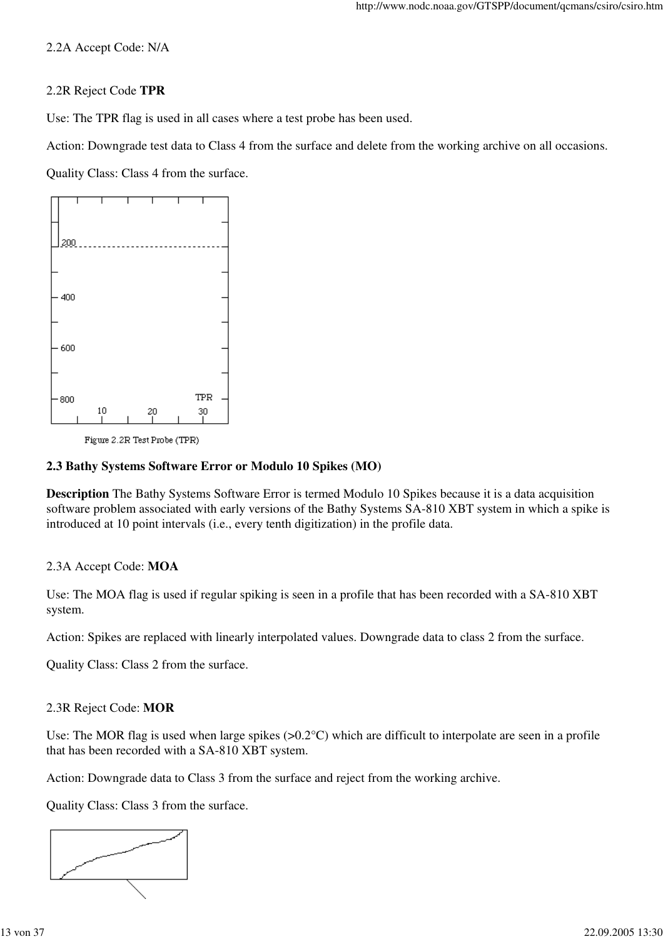### 2.2A Accept Code: N/A

### 2.2R Reject Code **TPR**

Use: The TPR flag is used in all cases where a test probe has been used.

Action: Downgrade test data to Class 4 from the surface and delete from the working archive on all occasions.

Quality Class: Class 4 from the surface.



Figure 2.2R Test Probe (TPR)

### **2.3 Bathy Systems Software Error or Modulo 10 Spikes (MO)**

**Description** The Bathy Systems Software Error is termed Modulo 10 Spikes because it is a data acquisition software problem associated with early versions of the Bathy Systems SA-810 XBT system in which a spike is introduced at 10 point intervals (i.e., every tenth digitization) in the profile data.

## 2.3A Accept Code: **MOA**

Use: The MOA flag is used if regular spiking is seen in a profile that has been recorded with a SA-810 XBT system.

Action: Spikes are replaced with linearly interpolated values. Downgrade data to class 2 from the surface.

Quality Class: Class 2 from the surface.

#### 2.3R Reject Code: **MOR**

Use: The MOR flag is used when large spikes  $(>0.2^{\circ}C)$  which are difficult to interpolate are seen in a profile that has been recorded with a SA-810 XBT system.

Action: Downgrade data to Class 3 from the surface and reject from the working archive.

Quality Class: Class 3 from the surface.

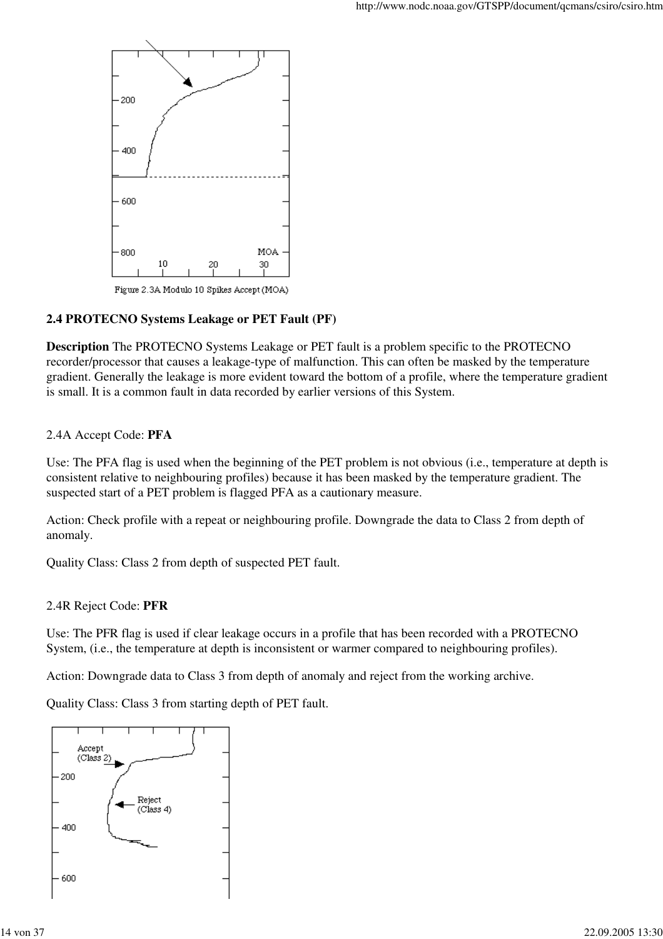

Figure 2.3A Modulo 10 Spikes Accept (MOA)

### **2.4 PROTECNO Systems Leakage or PET Fault (PF)**

**Description** The PROTECNO Systems Leakage or PET fault is a problem specific to the PROTECNO recorder/processor that causes a leakage-type of malfunction. This can often be masked by the temperature gradient. Generally the leakage is more evident toward the bottom of a profile, where the temperature gradient is small. It is a common fault in data recorded by earlier versions of this System.

#### 2.4A Accept Code: **PFA**

Use: The PFA flag is used when the beginning of the PET problem is not obvious (i.e., temperature at depth is consistent relative to neighbouring profiles) because it has been masked by the temperature gradient. The suspected start of a PET problem is flagged PFA as a cautionary measure.

Action: Check profile with a repeat or neighbouring profile. Downgrade the data to Class 2 from depth of anomaly.

Quality Class: Class 2 from depth of suspected PET fault.

#### 2.4R Reject Code: **PFR**

Use: The PFR flag is used if clear leakage occurs in a profile that has been recorded with a PROTECNO System, (i.e., the temperature at depth is inconsistent or warmer compared to neighbouring profiles).

Action: Downgrade data to Class 3 from depth of anomaly and reject from the working archive.

Quality Class: Class 3 from starting depth of PET fault.

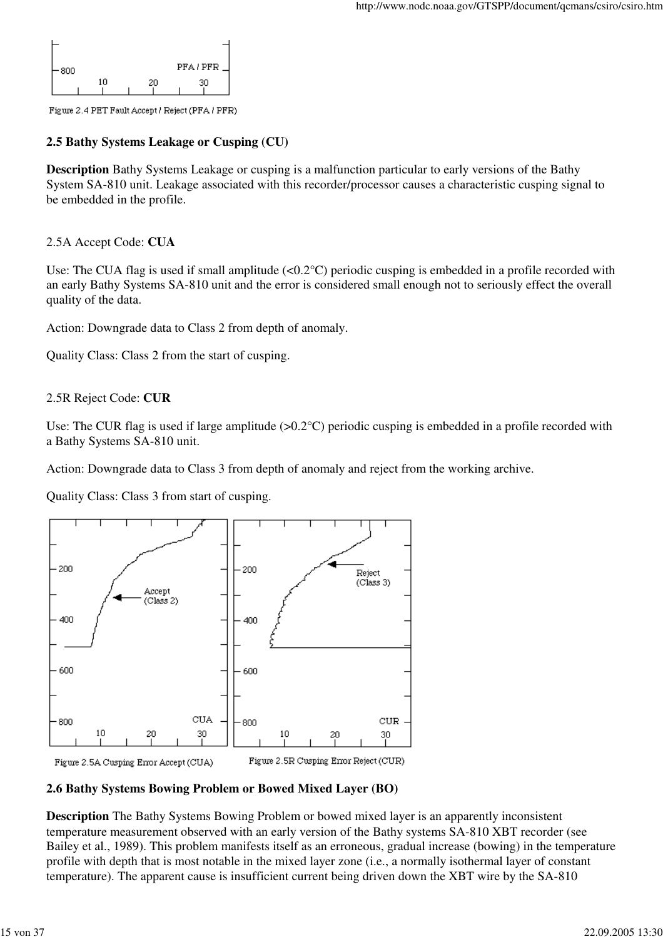

Figure 2.4 PET Fault Accept / Reject (PFA / PFR)

## **2.5 Bathy Systems Leakage or Cusping (CU)**

**Description** Bathy Systems Leakage or cusping is a malfunction particular to early versions of the Bathy System SA-810 unit. Leakage associated with this recorder/processor causes a characteristic cusping signal to be embedded in the profile.

## 2.5A Accept Code: **CUA**

Use: The CUA flag is used if small amplitude  $(<0.2^{\circ}$ C) periodic cusping is embedded in a profile recorded with an early Bathy Systems SA-810 unit and the error is considered small enough not to seriously effect the overall quality of the data.

Action: Downgrade data to Class 2 from depth of anomaly.

Quality Class: Class 2 from the start of cusping.

### 2.5R Reject Code: **CUR**

Use: The CUR flag is used if large amplitude  $(>0.2^{\circ}C)$  periodic cusping is embedded in a profile recorded with a Bathy Systems SA-810 unit.

Action: Downgrade data to Class 3 from depth of anomaly and reject from the working archive.

Quality Class: Class 3 from start of cusping.



#### **2.6 Bathy Systems Bowing Problem or Bowed Mixed Layer (BO)**

**Description** The Bathy Systems Bowing Problem or bowed mixed layer is an apparently inconsistent temperature measurement observed with an early version of the Bathy systems SA-810 XBT recorder (see Bailey et al., 1989). This problem manifests itself as an erroneous, gradual increase (bowing) in the temperature profile with depth that is most notable in the mixed layer zone (i.e., a normally isothermal layer of constant temperature). The apparent cause is insufficient current being driven down the XBT wire by the SA-810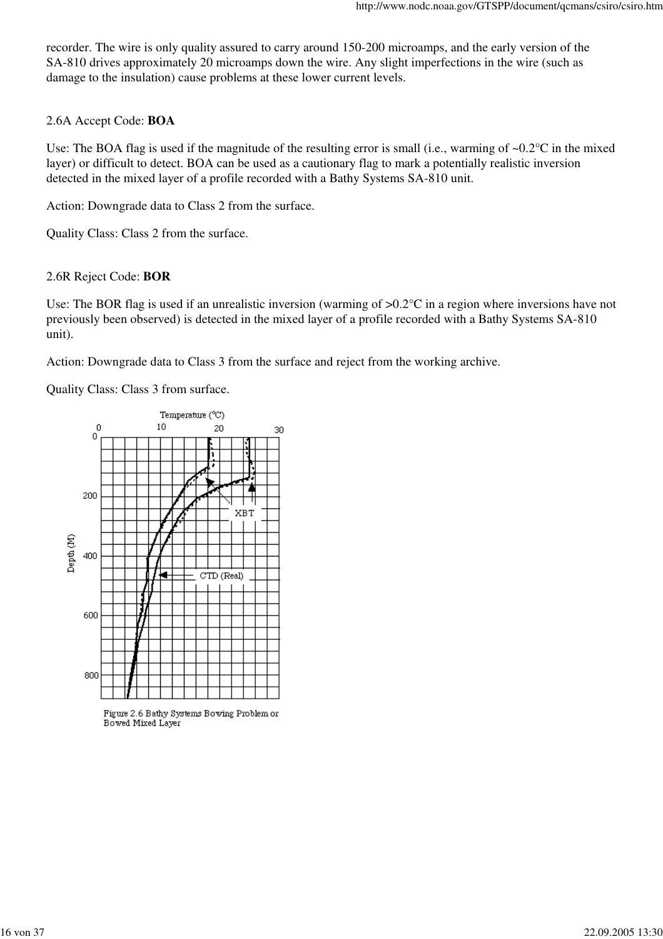recorder. The wire is only quality assured to carry around 150-200 microamps, and the early version of the SA-810 drives approximately 20 microamps down the wire. Any slight imperfections in the wire (such as damage to the insulation) cause problems at these lower current levels.

#### 2.6A Accept Code: **BOA**

Use: The BOA flag is used if the magnitude of the resulting error is small (i.e., warming of ~0.2°C in the mixed layer) or difficult to detect. BOA can be used as a cautionary flag to mark a potentially realistic inversion detected in the mixed layer of a profile recorded with a Bathy Systems SA-810 unit.

Action: Downgrade data to Class 2 from the surface.

Quality Class: Class 2 from the surface.

#### 2.6R Reject Code: **BOR**

Use: The BOR flag is used if an unrealistic inversion (warming of  $> 0.2$ °C in a region where inversions have not previously been observed) is detected in the mixed layer of a profile recorded with a Bathy Systems SA-810 unit).

Action: Downgrade data to Class 3 from the surface and reject from the working archive.

Quality Class: Class 3 from surface.



Figure 2.6 Bathy Systems Bowing Problem or Bowed Mixed Layer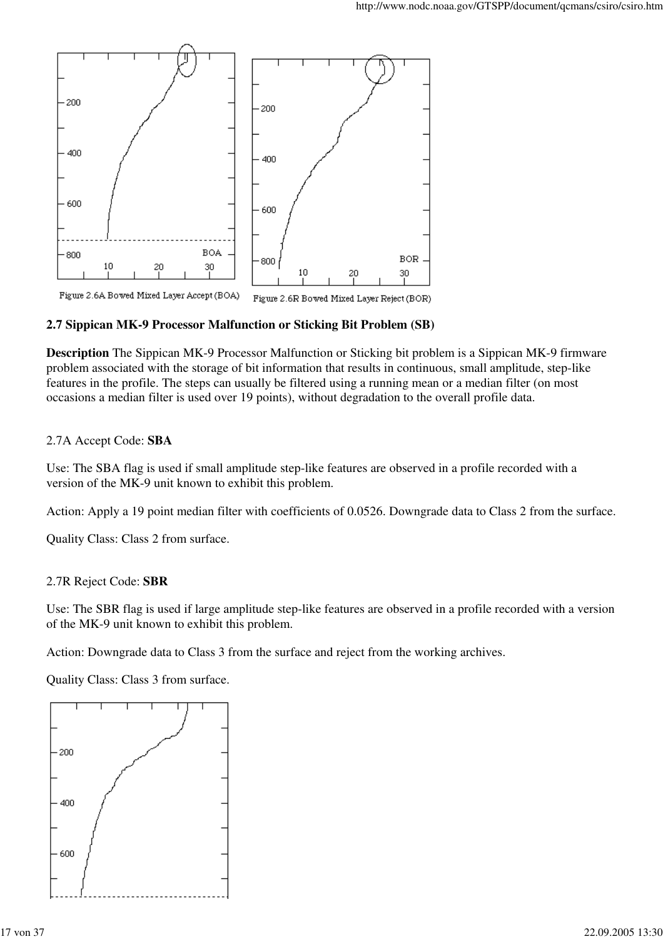

### **2.7 Sippican MK-9 Processor Malfunction or Sticking Bit Problem (SB)**

**Description** The Sippican MK-9 Processor Malfunction or Sticking bit problem is a Sippican MK-9 firmware problem associated with the storage of bit information that results in continuous, small amplitude, step-like features in the profile. The steps can usually be filtered using a running mean or a median filter (on most occasions a median filter is used over 19 points), without degradation to the overall profile data.

#### 2.7A Accept Code: **SBA**

Use: The SBA flag is used if small amplitude step-like features are observed in a profile recorded with a version of the MK-9 unit known to exhibit this problem.

Action: Apply a 19 point median filter with coefficients of 0.0526. Downgrade data to Class 2 from the surface.

Quality Class: Class 2 from surface.

#### 2.7R Reject Code: **SBR**

Use: The SBR flag is used if large amplitude step-like features are observed in a profile recorded with a version of the MK-9 unit known to exhibit this problem.

Action: Downgrade data to Class 3 from the surface and reject from the working archives.

Quality Class: Class 3 from surface.

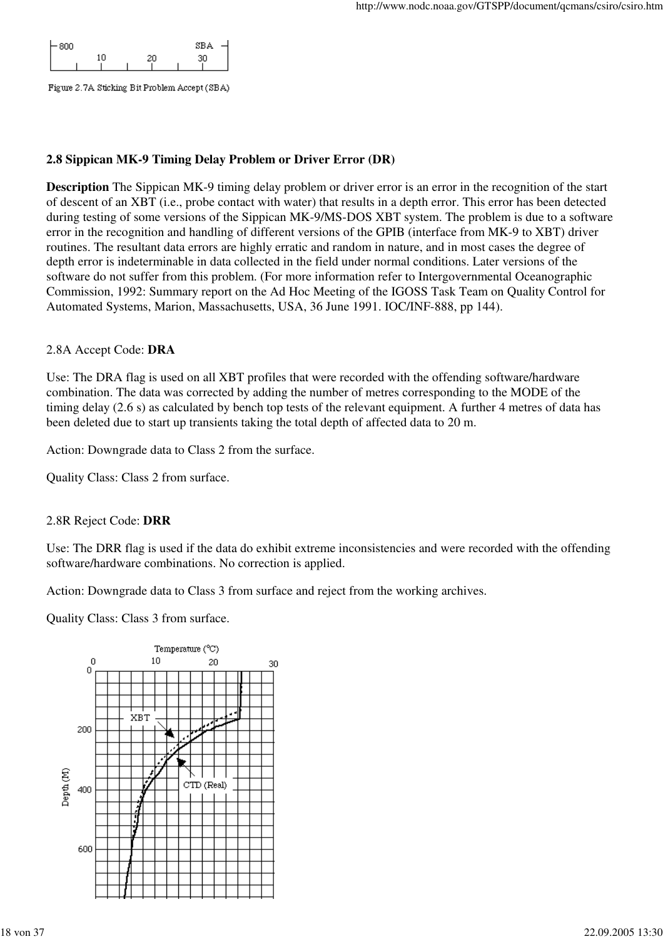| 800 |  |  | <b>SBA</b> |  |
|-----|--|--|------------|--|
|     |  |  |            |  |
|     |  |  |            |  |

Figure 2.7A Sticking Bit Problem Accept (SBA)

### **2.8 Sippican MK-9 Timing Delay Problem or Driver Error (DR)**

**Description** The Sippican MK-9 timing delay problem or driver error is an error in the recognition of the start of descent of an XBT (i.e., probe contact with water) that results in a depth error. This error has been detected during testing of some versions of the Sippican MK-9/MS-DOS XBT system. The problem is due to a software error in the recognition and handling of different versions of the GPIB (interface from MK-9 to XBT) driver routines. The resultant data errors are highly erratic and random in nature, and in most cases the degree of depth error is indeterminable in data collected in the field under normal conditions. Later versions of the software do not suffer from this problem. (For more information refer to Intergovernmental Oceanographic Commission, 1992: Summary report on the Ad Hoc Meeting of the IGOSS Task Team on Quality Control for Automated Systems, Marion, Massachusetts, USA, 36 June 1991. IOC/INF-888, pp 144).

#### 2.8A Accept Code: **DRA**

Use: The DRA flag is used on all XBT profiles that were recorded with the offending software/hardware combination. The data was corrected by adding the number of metres corresponding to the MODE of the timing delay (2.6 s) as calculated by bench top tests of the relevant equipment. A further 4 metres of data has been deleted due to start up transients taking the total depth of affected data to 20 m.

Action: Downgrade data to Class 2 from the surface.

Quality Class: Class 2 from surface.

#### 2.8R Reject Code: **DRR**

Use: The DRR flag is used if the data do exhibit extreme inconsistencies and were recorded with the offending software/hardware combinations. No correction is applied.

Action: Downgrade data to Class 3 from surface and reject from the working archives.

Quality Class: Class 3 from surface.

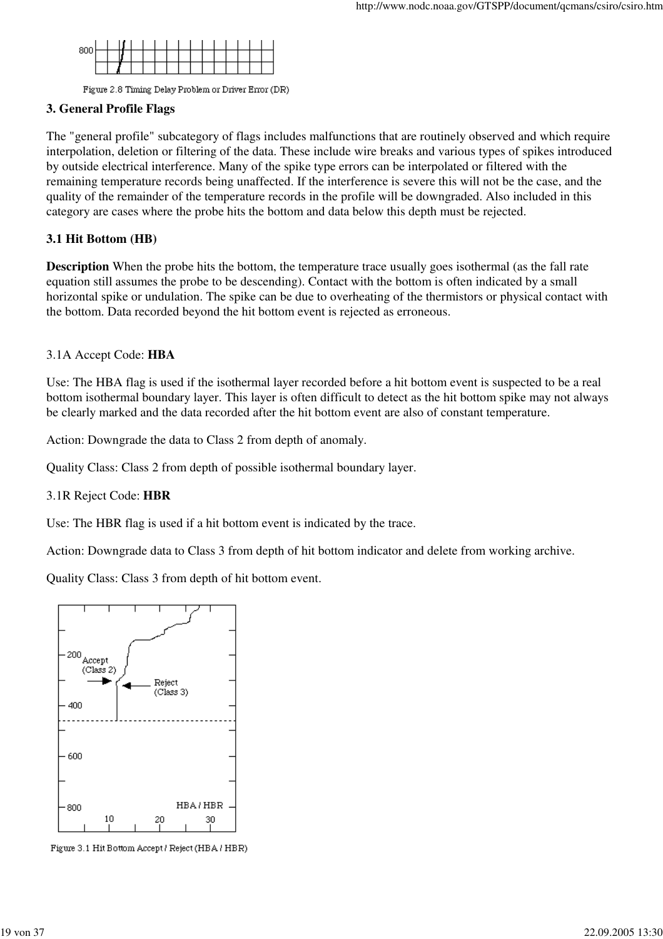

Figure 2.8 Timing Delay Problem or Driver Error (DR)

## **3. General Profile Flags**

The "general profile" subcategory of flags includes malfunctions that are routinely observed and which require interpolation, deletion or filtering of the data. These include wire breaks and various types of spikes introduced by outside electrical interference. Many of the spike type errors can be interpolated or filtered with the remaining temperature records being unaffected. If the interference is severe this will not be the case, and the quality of the remainder of the temperature records in the profile will be downgraded. Also included in this category are cases where the probe hits the bottom and data below this depth must be rejected.

## **3.1 Hit Bottom (HB)**

**Description** When the probe hits the bottom, the temperature trace usually goes isothermal (as the fall rate equation still assumes the probe to be descending). Contact with the bottom is often indicated by a small horizontal spike or undulation. The spike can be due to overheating of the thermistors or physical contact with the bottom. Data recorded beyond the hit bottom event is rejected as erroneous.

## 3.1A Accept Code: **HBA**

Use: The HBA flag is used if the isothermal layer recorded before a hit bottom event is suspected to be a real bottom isothermal boundary layer. This layer is often difficult to detect as the hit bottom spike may not always be clearly marked and the data recorded after the hit bottom event are also of constant temperature.

Action: Downgrade the data to Class 2 from depth of anomaly.

Quality Class: Class 2 from depth of possible isothermal boundary layer.

## 3.1R Reject Code: **HBR**

Use: The HBR flag is used if a hit bottom event is indicated by the trace.

Action: Downgrade data to Class 3 from depth of hit bottom indicator and delete from working archive.

Quality Class: Class 3 from depth of hit bottom event.



Figure 3.1 Hit Bottom Accept / Reject (HBA / HBR)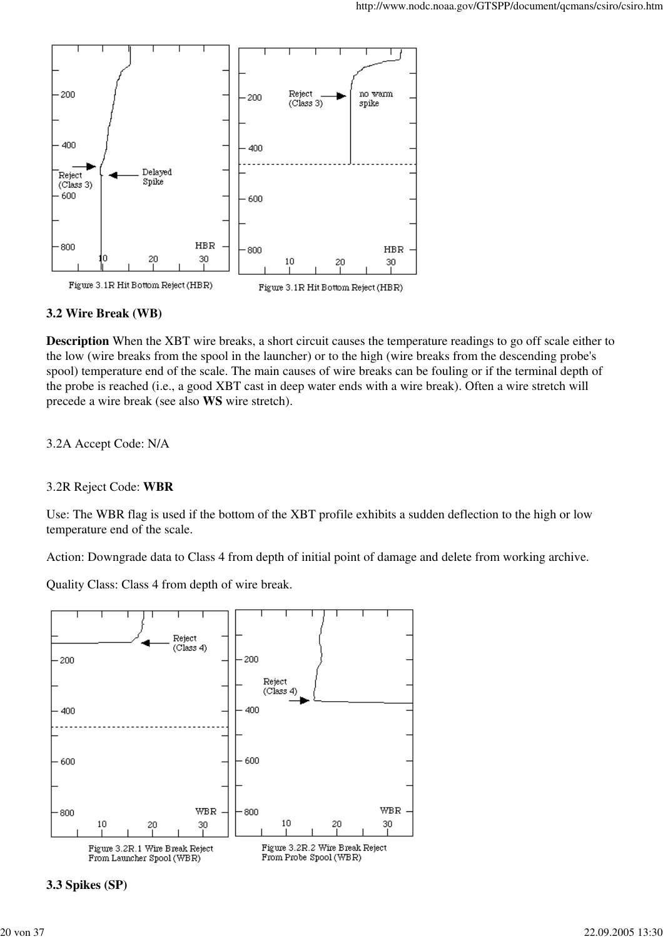

### **3.2 Wire Break (WB)**

**Description** When the XBT wire breaks, a short circuit causes the temperature readings to go off scale either to the low (wire breaks from the spool in the launcher) or to the high (wire breaks from the descending probe's spool) temperature end of the scale. The main causes of wire breaks can be fouling or if the terminal depth of the probe is reached (i.e., a good XBT cast in deep water ends with a wire break). Often a wire stretch will precede a wire break (see also **WS** wire stretch).

3.2A Accept Code: N/A

#### 3.2R Reject Code: **WBR**

Use: The WBR flag is used if the bottom of the XBT profile exhibits a sudden deflection to the high or low temperature end of the scale.

Action: Downgrade data to Class 4 from depth of initial point of damage and delete from working archive.

Quality Class: Class 4 from depth of wire break.



**3.3 Spikes (SP)**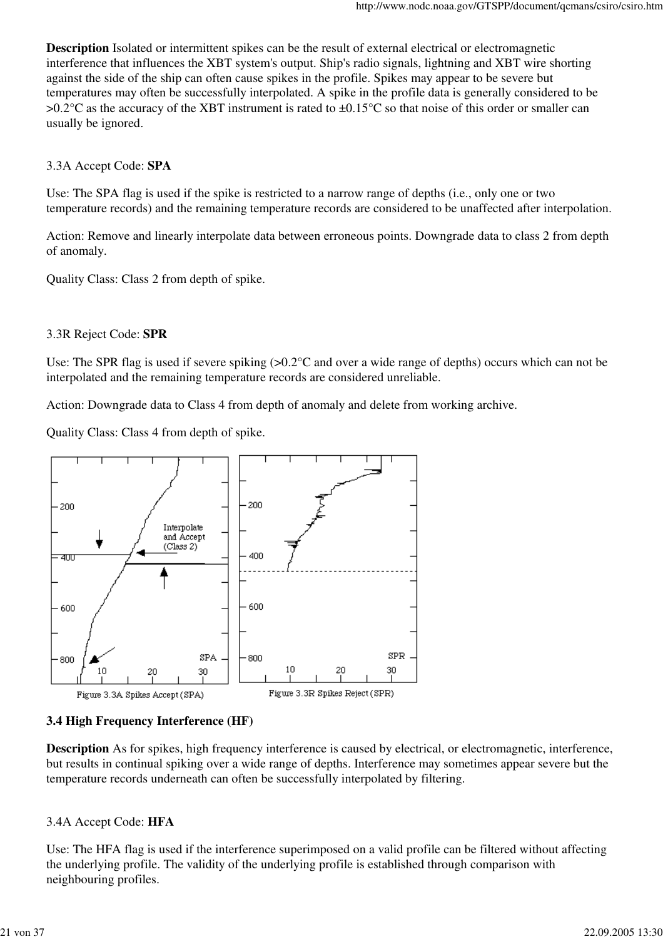**Description** Isolated or intermittent spikes can be the result of external electrical or electromagnetic interference that influences the XBT system's output. Ship's radio signals, lightning and XBT wire shorting against the side of the ship can often cause spikes in the profile. Spikes may appear to be severe but temperatures may often be successfully interpolated. A spike in the profile data is generally considered to be  $>0.2$ °C as the accuracy of the XBT instrument is rated to  $\pm 0.15$ °C so that noise of this order or smaller can usually be ignored.

### 3.3A Accept Code: **SPA**

Use: The SPA flag is used if the spike is restricted to a narrow range of depths (i.e., only one or two temperature records) and the remaining temperature records are considered to be unaffected after interpolation.

Action: Remove and linearly interpolate data between erroneous points. Downgrade data to class 2 from depth of anomaly.

Quality Class: Class 2 from depth of spike.

#### 3.3R Reject Code: **SPR**

Use: The SPR flag is used if severe spiking  $(>0.2^{\circ}C$  and over a wide range of depths) occurs which can not be interpolated and the remaining temperature records are considered unreliable.

Action: Downgrade data to Class 4 from depth of anomaly and delete from working archive.

Quality Class: Class 4 from depth of spike.



## **3.4 High Frequency Interference (HF)**

**Description** As for spikes, high frequency interference is caused by electrical, or electromagnetic, interference, but results in continual spiking over a wide range of depths. Interference may sometimes appear severe but the temperature records underneath can often be successfully interpolated by filtering.

#### 3.4A Accept Code: **HFA**

Use: The HFA flag is used if the interference superimposed on a valid profile can be filtered without affecting the underlying profile. The validity of the underlying profile is established through comparison with neighbouring profiles.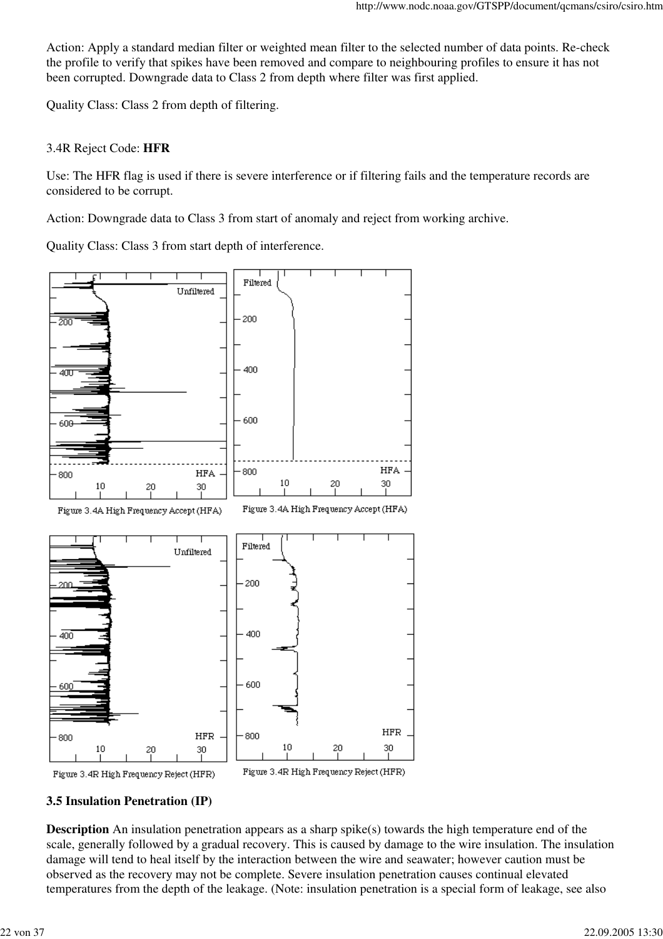Action: Apply a standard median filter or weighted mean filter to the selected number of data points. Re-check the profile to verify that spikes have been removed and compare to neighbouring profiles to ensure it has not been corrupted. Downgrade data to Class 2 from depth where filter was first applied.

Quality Class: Class 2 from depth of filtering.

#### 3.4R Reject Code: **HFR**

Use: The HFR flag is used if there is severe interference or if filtering fails and the temperature records are considered to be corrupt.

Action: Downgrade data to Class 3 from start of anomaly and reject from working archive.

Quality Class: Class 3 from start depth of interference.





Figure 3.4R High Frequency Reject (HFR)

## **3.5 Insulation Penetration (IP)**

**Description** An insulation penetration appears as a sharp spike(s) towards the high temperature end of the scale, generally followed by a gradual recovery. This is caused by damage to the wire insulation. The insulation damage will tend to heal itself by the interaction between the wire and seawater; however caution must be observed as the recovery may not be complete. Severe insulation penetration causes continual elevated temperatures from the depth of the leakage. (Note: insulation penetration is a special form of leakage, see also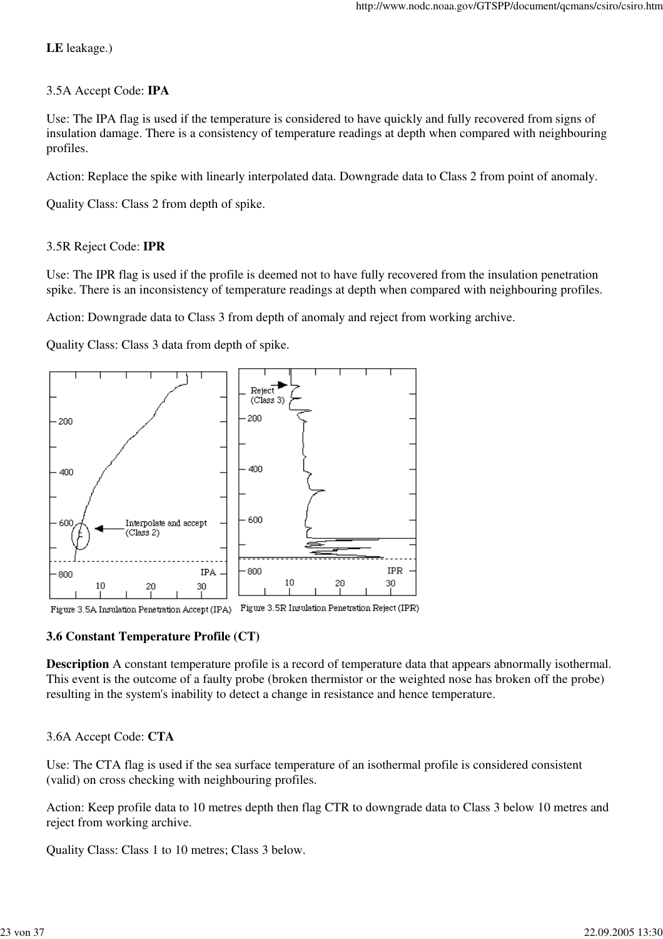#### **LE** leakage.)

#### 3.5A Accept Code: **IPA**

Use: The IPA flag is used if the temperature is considered to have quickly and fully recovered from signs of insulation damage. There is a consistency of temperature readings at depth when compared with neighbouring profiles.

Action: Replace the spike with linearly interpolated data. Downgrade data to Class 2 from point of anomaly.

Quality Class: Class 2 from depth of spike.

### 3.5R Reject Code: **IPR**

Use: The IPR flag is used if the profile is deemed not to have fully recovered from the insulation penetration spike. There is an inconsistency of temperature readings at depth when compared with neighbouring profiles.

Action: Downgrade data to Class 3 from depth of anomaly and reject from working archive.

Quality Class: Class 3 data from depth of spike.



Figure 3.5A Insulation Penetration Accept (IPA) Figure 3.5R Insulation Penetration Reject (IPR)

#### **3.6 Constant Temperature Profile (CT)**

**Description** A constant temperature profile is a record of temperature data that appears abnormally isothermal. This event is the outcome of a faulty probe (broken thermistor or the weighted nose has broken off the probe) resulting in the system's inability to detect a change in resistance and hence temperature.

## 3.6A Accept Code: **CTA**

Use: The CTA flag is used if the sea surface temperature of an isothermal profile is considered consistent (valid) on cross checking with neighbouring profiles.

Action: Keep profile data to 10 metres depth then flag CTR to downgrade data to Class 3 below 10 metres and reject from working archive.

Quality Class: Class 1 to 10 metres; Class 3 below.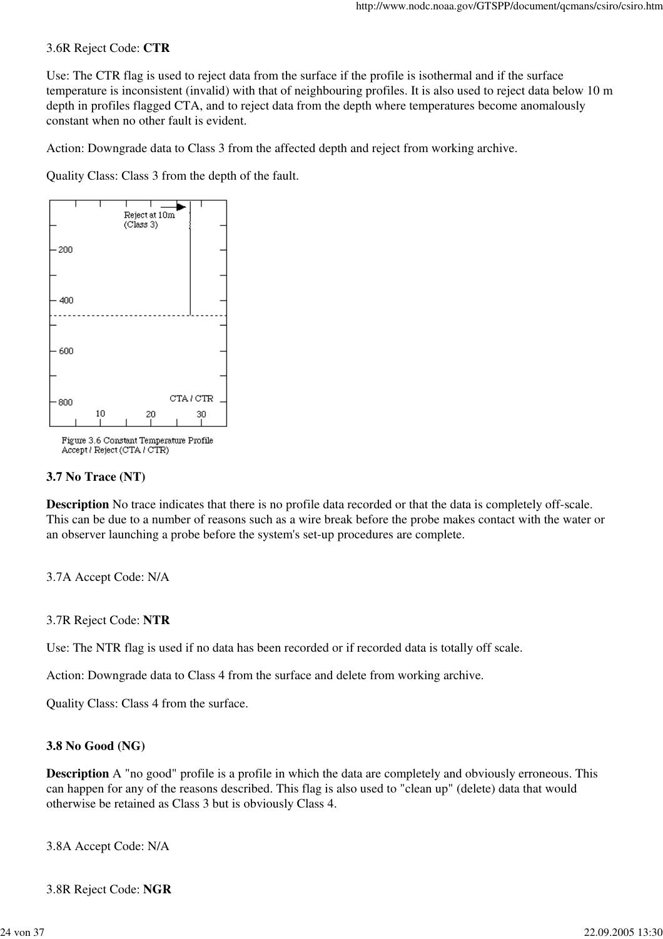#### 3.6R Reject Code: **CTR**

Use: The CTR flag is used to reject data from the surface if the profile is isothermal and if the surface temperature is inconsistent (invalid) with that of neighbouring profiles. It is also used to reject data below 10 m depth in profiles flagged CTA, and to reject data from the depth where temperatures become anomalously constant when no other fault is evident.

Action: Downgrade data to Class 3 from the affected depth and reject from working archive.

Quality Class: Class 3 from the depth of the fault.



Figure 3.6 Constant Temperature Profile Accept / Reject (CTA / CTR)

#### **3.7 No Trace (NT)**

**Description** No trace indicates that there is no profile data recorded or that the data is completely off-scale. This can be due to a number of reasons such as a wire break before the probe makes contact with the water or an observer launching a probe before the system's set-up procedures are complete.

3.7A Accept Code: N/A

#### 3.7R Reject Code: **NTR**

Use: The NTR flag is used if no data has been recorded or if recorded data is totally off scale.

Action: Downgrade data to Class 4 from the surface and delete from working archive.

Quality Class: Class 4 from the surface.

#### **3.8 No Good (NG)**

**Description** A "no good" profile is a profile in which the data are completely and obviously erroneous. This can happen for any of the reasons described. This flag is also used to "clean up" (delete) data that would otherwise be retained as Class 3 but is obviously Class 4.

3.8A Accept Code: N/A

3.8R Reject Code: **NGR**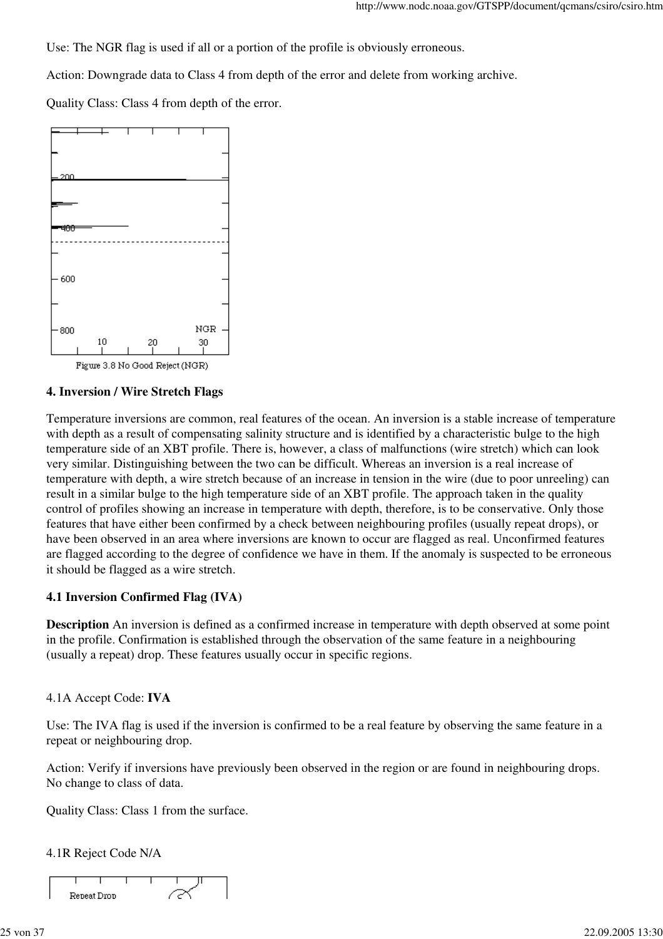Use: The NGR flag is used if all or a portion of the profile is obviously erroneous.

Action: Downgrade data to Class 4 from depth of the error and delete from working archive.

Quality Class: Class 4 from depth of the error.



Figure 3.8 No Good Reject (NGR)

#### **4. Inversion / Wire Stretch Flags**

Temperature inversions are common, real features of the ocean. An inversion is a stable increase of temperature with depth as a result of compensating salinity structure and is identified by a characteristic bulge to the high temperature side of an XBT profile. There is, however, a class of malfunctions (wire stretch) which can look very similar. Distinguishing between the two can be difficult. Whereas an inversion is a real increase of temperature with depth, a wire stretch because of an increase in tension in the wire (due to poor unreeling) can result in a similar bulge to the high temperature side of an XBT profile. The approach taken in the quality control of profiles showing an increase in temperature with depth, therefore, is to be conservative. Only those features that have either been confirmed by a check between neighbouring profiles (usually repeat drops), or have been observed in an area where inversions are known to occur are flagged as real. Unconfirmed features are flagged according to the degree of confidence we have in them. If the anomaly is suspected to be erroneous it should be flagged as a wire stretch.

#### **4.1 Inversion Confirmed Flag (IVA)**

**Description** An inversion is defined as a confirmed increase in temperature with depth observed at some point in the profile. Confirmation is established through the observation of the same feature in a neighbouring (usually a repeat) drop. These features usually occur in specific regions.

#### 4.1A Accept Code: **IVA**

Use: The IVA flag is used if the inversion is confirmed to be a real feature by observing the same feature in a repeat or neighbouring drop.

Action: Verify if inversions have previously been observed in the region or are found in neighbouring drops. No change to class of data.

Quality Class: Class 1 from the surface.

#### 4.1R Reject Code N/A

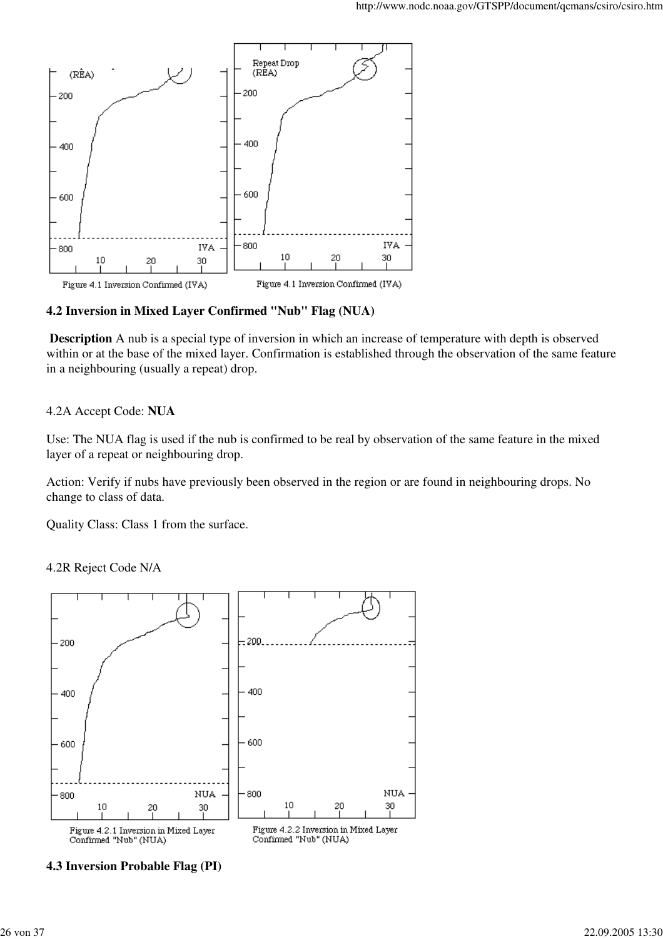

#### **4.2 Inversion in Mixed Layer Confirmed "Nub" Flag (NUA)**

 **Description** A nub is a special type of inversion in which an increase of temperature with depth is observed within or at the base of the mixed layer. Confirmation is established through the observation of the same feature in a neighbouring (usually a repeat) drop.

#### 4.2A Accept Code: **NUA**

Use: The NUA flag is used if the nub is confirmed to be real by observation of the same feature in the mixed layer of a repeat or neighbouring drop.

Action: Verify if nubs have previously been observed in the region or are found in neighbouring drops. No change to class of data.

Quality Class: Class 1 from the surface.

4.2R Reject Code N/A



**4.3 Inversion Probable Flag (PI)**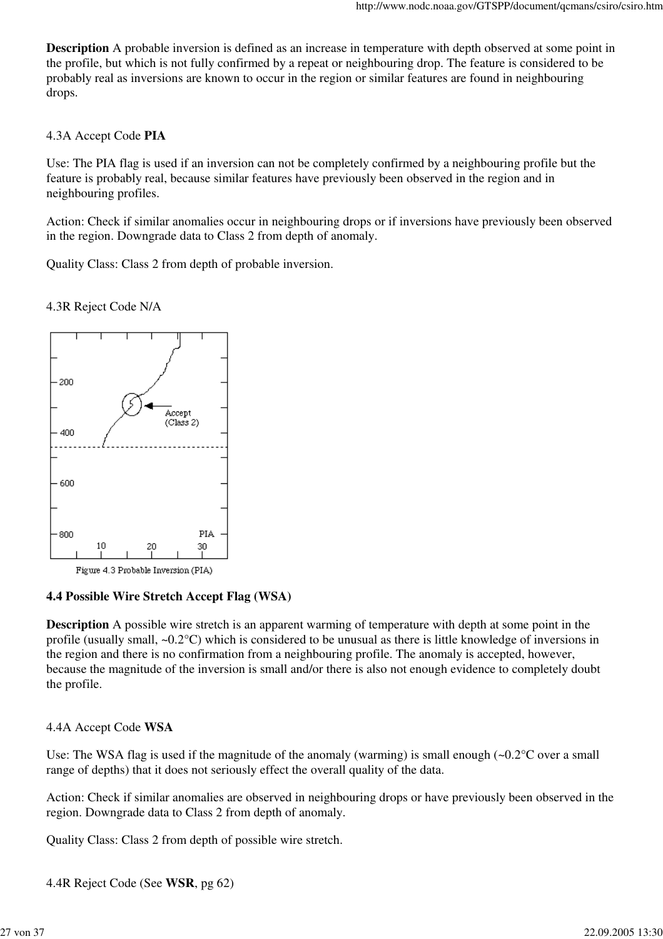**Description** A probable inversion is defined as an increase in temperature with depth observed at some point in the profile, but which is not fully confirmed by a repeat or neighbouring drop. The feature is considered to be probably real as inversions are known to occur in the region or similar features are found in neighbouring drops.

#### 4.3A Accept Code **PIA**

Use: The PIA flag is used if an inversion can not be completely confirmed by a neighbouring profile but the feature is probably real, because similar features have previously been observed in the region and in neighbouring profiles.

Action: Check if similar anomalies occur in neighbouring drops or if inversions have previously been observed in the region. Downgrade data to Class 2 from depth of anomaly.

Quality Class: Class 2 from depth of probable inversion.

### 4.3R Reject Code N/A



Figure 4.3 Probable Inversion (PIA)

#### **4.4 Possible Wire Stretch Accept Flag (WSA)**

**Description** A possible wire stretch is an apparent warming of temperature with depth at some point in the profile (usually small, ~0.2°C) which is considered to be unusual as there is little knowledge of inversions in the region and there is no confirmation from a neighbouring profile. The anomaly is accepted, however, because the magnitude of the inversion is small and/or there is also not enough evidence to completely doubt the profile.

#### 4.4A Accept Code **WSA**

Use: The WSA flag is used if the magnitude of the anomaly (warming) is small enough  $\sim 0.2^{\circ}$ C over a small range of depths) that it does not seriously effect the overall quality of the data.

Action: Check if similar anomalies are observed in neighbouring drops or have previously been observed in the region. Downgrade data to Class 2 from depth of anomaly.

Quality Class: Class 2 from depth of possible wire stretch.

4.4R Reject Code (See **WSR**, pg 62)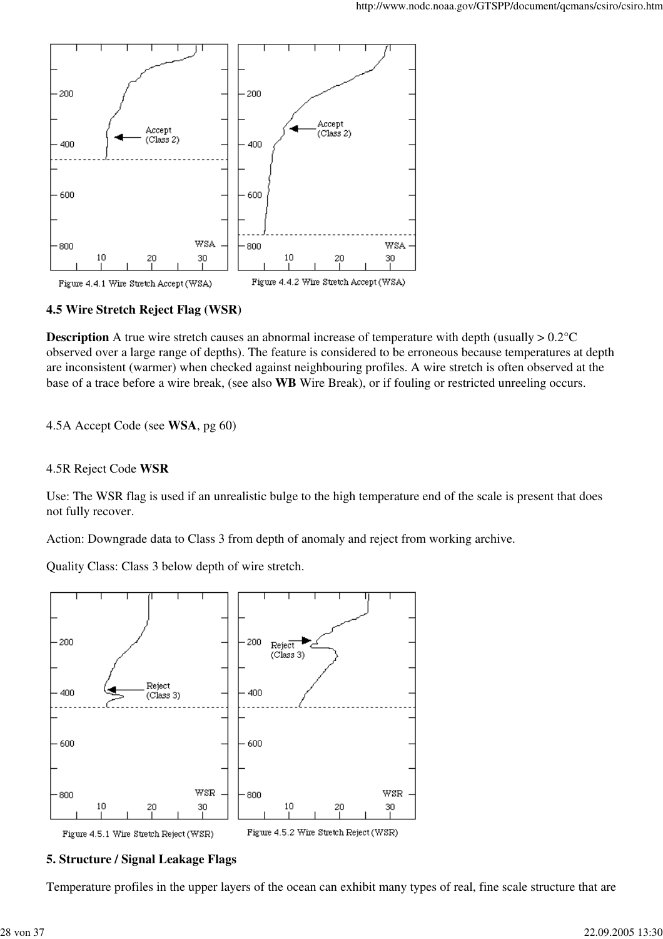

#### **4.5 Wire Stretch Reject Flag (WSR)**

**Description** A true wire stretch causes an abnormal increase of temperature with depth (usually  $> 0.2$ °C observed over a large range of depths). The feature is considered to be erroneous because temperatures at depth are inconsistent (warmer) when checked against neighbouring profiles. A wire stretch is often observed at the base of a trace before a wire break, (see also **WB** Wire Break), or if fouling or restricted unreeling occurs.

#### 4.5A Accept Code (see **WSA**, pg 60)

#### 4.5R Reject Code **WSR**

Use: The WSR flag is used if an unrealistic bulge to the high temperature end of the scale is present that does not fully recover.

Action: Downgrade data to Class 3 from depth of anomaly and reject from working archive.

Quality Class: Class 3 below depth of wire stretch.



#### **5. Structure / Signal Leakage Flags**

Temperature profiles in the upper layers of the ocean can exhibit many types of real, fine scale structure that are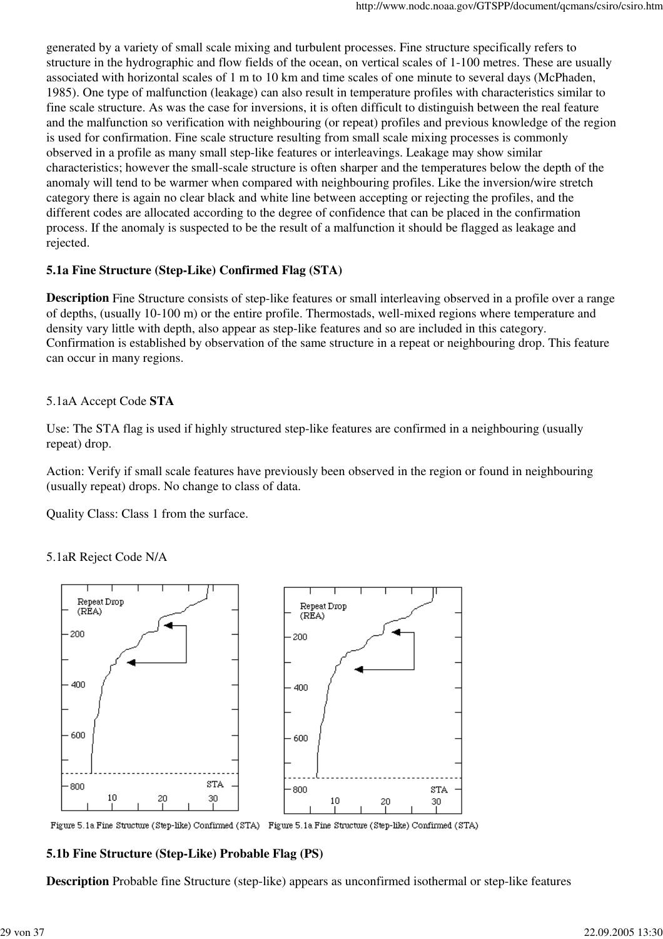generated by a variety of small scale mixing and turbulent processes. Fine structure specifically refers to structure in the hydrographic and flow fields of the ocean, on vertical scales of 1-100 metres. These are usually associated with horizontal scales of 1 m to 10 km and time scales of one minute to several days (McPhaden, 1985). One type of malfunction (leakage) can also result in temperature profiles with characteristics similar to fine scale structure. As was the case for inversions, it is often difficult to distinguish between the real feature and the malfunction so verification with neighbouring (or repeat) profiles and previous knowledge of the region is used for confirmation. Fine scale structure resulting from small scale mixing processes is commonly observed in a profile as many small step-like features or interleavings. Leakage may show similar characteristics; however the small-scale structure is often sharper and the temperatures below the depth of the anomaly will tend to be warmer when compared with neighbouring profiles. Like the inversion/wire stretch category there is again no clear black and white line between accepting or rejecting the profiles, and the different codes are allocated according to the degree of confidence that can be placed in the confirmation process. If the anomaly is suspected to be the result of a malfunction it should be flagged as leakage and rejected.

## **5.1a Fine Structure (Step-Like) Confirmed Flag (STA)**

**Description** Fine Structure consists of step-like features or small interleaving observed in a profile over a range of depths, (usually 10-100 m) or the entire profile. Thermostads, well-mixed regions where temperature and density vary little with depth, also appear as step-like features and so are included in this category. Confirmation is established by observation of the same structure in a repeat or neighbouring drop. This feature can occur in many regions.

## 5.1aA Accept Code **STA**

Use: The STA flag is used if highly structured step-like features are confirmed in a neighbouring (usually repeat) drop.

Action: Verify if small scale features have previously been observed in the region or found in neighbouring (usually repeat) drops. No change to class of data.

Quality Class: Class 1 from the surface.

5.1aR Reject Code N/A



Figure 5.1a Fine Structure (Step-like) Confirmed (STA) Figure 5.1a Fine Structure (Step-like) Confirmed (STA)

## **5.1b Fine Structure (Step-Like) Probable Flag (PS)**

**Description** Probable fine Structure (step-like) appears as unconfirmed isothermal or step-like features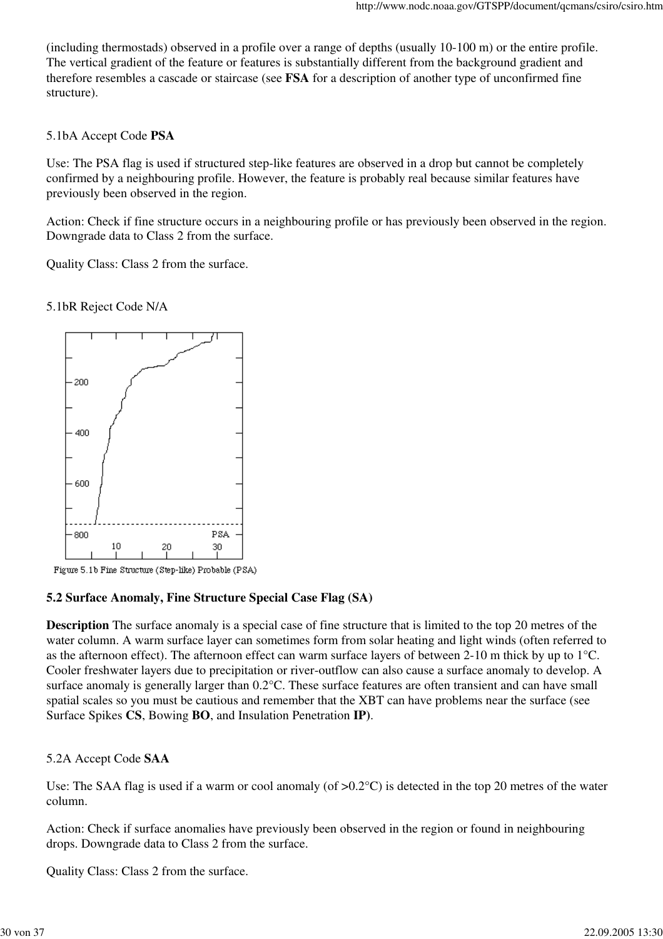(including thermostads) observed in a profile over a range of depths (usually 10-100 m) or the entire profile. The vertical gradient of the feature or features is substantially different from the background gradient and therefore resembles a cascade or staircase (see **FSA** for a description of another type of unconfirmed fine structure).

### 5.1bA Accept Code **PSA**

Use: The PSA flag is used if structured step-like features are observed in a drop but cannot be completely confirmed by a neighbouring profile. However, the feature is probably real because similar features have previously been observed in the region.

Action: Check if fine structure occurs in a neighbouring profile or has previously been observed in the region. Downgrade data to Class 2 from the surface.

Quality Class: Class 2 from the surface.

#### 5.1bR Reject Code N/A



Figure 5.1b Fine Structure (Step-like) Probable (PSA)

## **5.2 Surface Anomaly, Fine Structure Special Case Flag (SA)**

**Description** The surface anomaly is a special case of fine structure that is limited to the top 20 metres of the water column. A warm surface layer can sometimes form from solar heating and light winds (often referred to as the afternoon effect). The afternoon effect can warm surface layers of between 2-10 m thick by up to 1°C. Cooler freshwater layers due to precipitation or river-outflow can also cause a surface anomaly to develop. A surface anomaly is generally larger than 0.2°C. These surface features are often transient and can have small spatial scales so you must be cautious and remember that the XBT can have problems near the surface (see Surface Spikes **CS**, Bowing **BO**, and Insulation Penetration **IP)**.

## 5.2A Accept Code **SAA**

Use: The SAA flag is used if a warm or cool anomaly (of  $>0.2$ °C) is detected in the top 20 metres of the water column.

Action: Check if surface anomalies have previously been observed in the region or found in neighbouring drops. Downgrade data to Class 2 from the surface.

Quality Class: Class 2 from the surface.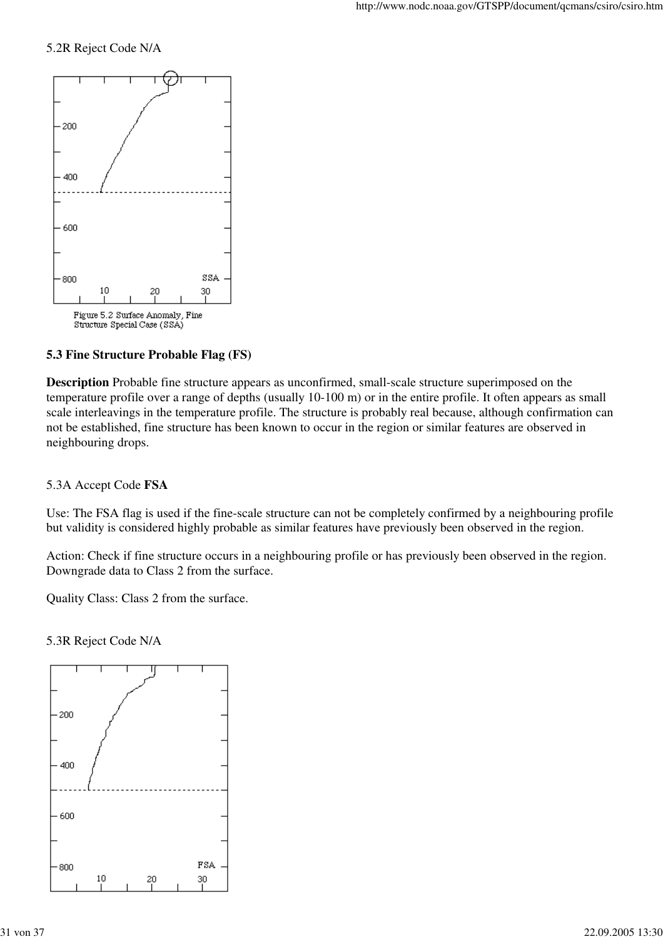#### 5.2R Reject Code N/A



## **5.3 Fine Structure Probable Flag (FS)**

**Description** Probable fine structure appears as unconfirmed, small-scale structure superimposed on the temperature profile over a range of depths (usually 10-100 m) or in the entire profile. It often appears as small scale interleavings in the temperature profile. The structure is probably real because, although confirmation can not be established, fine structure has been known to occur in the region or similar features are observed in neighbouring drops.

#### 5.3A Accept Code **FSA**

Use: The FSA flag is used if the fine-scale structure can not be completely confirmed by a neighbouring profile but validity is considered highly probable as similar features have previously been observed in the region.

Action: Check if fine structure occurs in a neighbouring profile or has previously been observed in the region. Downgrade data to Class 2 from the surface.

Quality Class: Class 2 from the surface.

5.3R Reject Code N/A

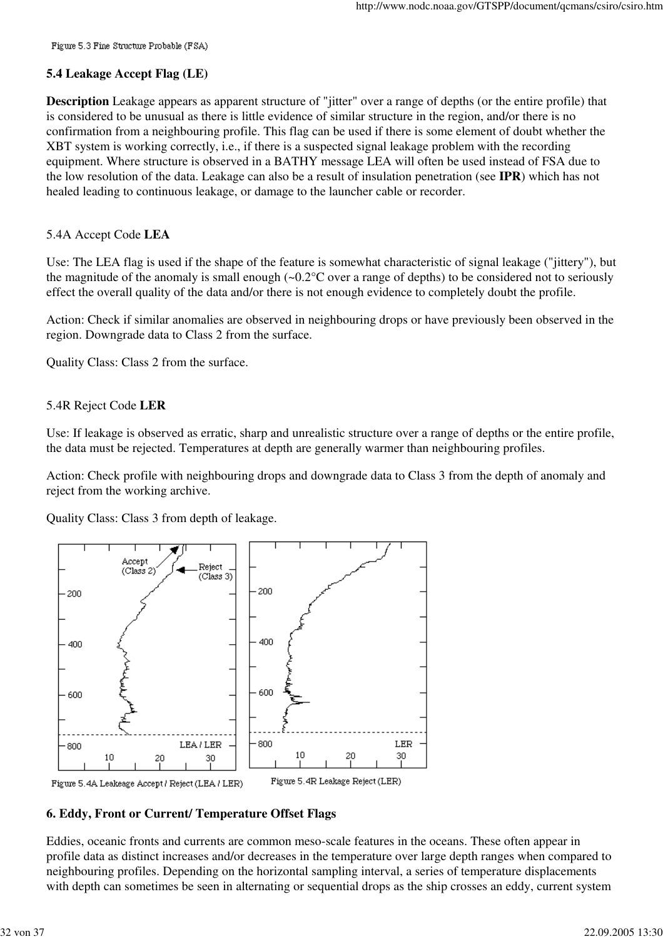Figure 5.3 Fine Structure Probable (FSA)

#### **5.4 Leakage Accept Flag (LE)**

**Description** Leakage appears as apparent structure of "jitter" over a range of depths (or the entire profile) that is considered to be unusual as there is little evidence of similar structure in the region, and/or there is no confirmation from a neighbouring profile. This flag can be used if there is some element of doubt whether the XBT system is working correctly, i.e., if there is a suspected signal leakage problem with the recording equipment. Where structure is observed in a BATHY message LEA will often be used instead of FSA due to the low resolution of the data. Leakage can also be a result of insulation penetration (see **IPR**) which has not healed leading to continuous leakage, or damage to the launcher cable or recorder.

#### 5.4A Accept Code **LEA**

Use: The LEA flag is used if the shape of the feature is somewhat characteristic of signal leakage ("jittery"), but the magnitude of the anomaly is small enough  $(-0.2^{\circ}C)$  over a range of depths) to be considered not to seriously effect the overall quality of the data and/or there is not enough evidence to completely doubt the profile.

Action: Check if similar anomalies are observed in neighbouring drops or have previously been observed in the region. Downgrade data to Class 2 from the surface.

Quality Class: Class 2 from the surface.

#### 5.4R Reject Code **LER**

Use: If leakage is observed as erratic, sharp and unrealistic structure over a range of depths or the entire profile, the data must be rejected. Temperatures at depth are generally warmer than neighbouring profiles.

Action: Check profile with neighbouring drops and downgrade data to Class 3 from the depth of anomaly and reject from the working archive.

Quality Class: Class 3 from depth of leakage.



#### **6. Eddy, Front or Current/ Temperature Offset Flags**

Eddies, oceanic fronts and currents are common meso-scale features in the oceans. These often appear in profile data as distinct increases and/or decreases in the temperature over large depth ranges when compared to neighbouring profiles. Depending on the horizontal sampling interval, a series of temperature displacements with depth can sometimes be seen in alternating or sequential drops as the ship crosses an eddy, current system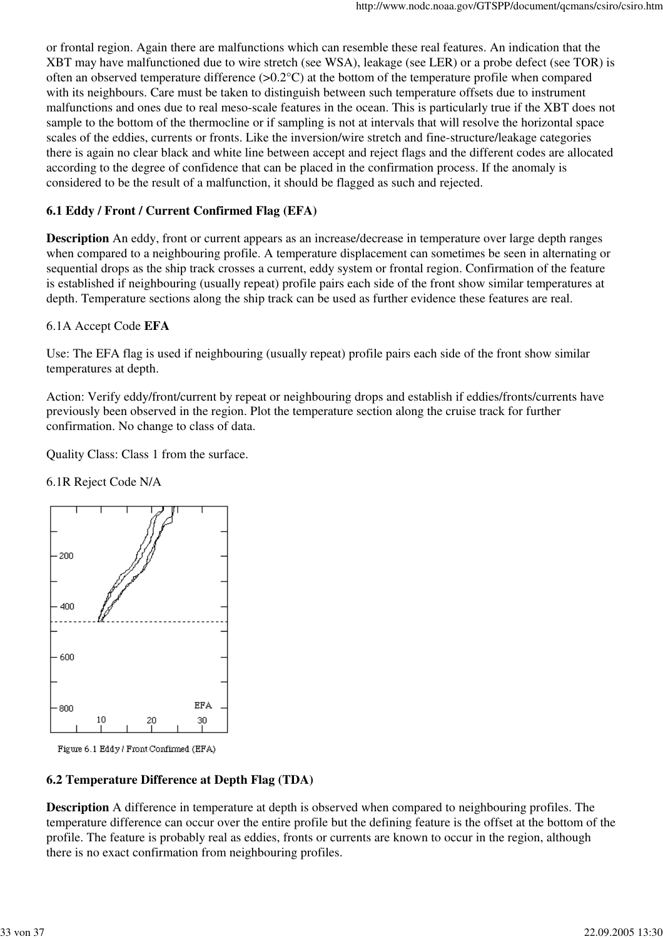or frontal region. Again there are malfunctions which can resemble these real features. An indication that the XBT may have malfunctioned due to wire stretch (see WSA), leakage (see LER) or a probe defect (see TOR) is often an observed temperature difference  $(>0.2^{\circ}C)$  at the bottom of the temperature profile when compared with its neighbours. Care must be taken to distinguish between such temperature offsets due to instrument malfunctions and ones due to real meso-scale features in the ocean. This is particularly true if the XBT does not sample to the bottom of the thermocline or if sampling is not at intervals that will resolve the horizontal space scales of the eddies, currents or fronts. Like the inversion/wire stretch and fine-structure/leakage categories there is again no clear black and white line between accept and reject flags and the different codes are allocated according to the degree of confidence that can be placed in the confirmation process. If the anomaly is considered to be the result of a malfunction, it should be flagged as such and rejected.

## **6.1 Eddy / Front / Current Confirmed Flag (EFA)**

**Description** An eddy, front or current appears as an increase/decrease in temperature over large depth ranges when compared to a neighbouring profile. A temperature displacement can sometimes be seen in alternating or sequential drops as the ship track crosses a current, eddy system or frontal region. Confirmation of the feature is established if neighbouring (usually repeat) profile pairs each side of the front show similar temperatures at depth. Temperature sections along the ship track can be used as further evidence these features are real.

## 6.1A Accept Code **EFA**

Use: The EFA flag is used if neighbouring (usually repeat) profile pairs each side of the front show similar temperatures at depth.

Action: Verify eddy/front/current by repeat or neighbouring drops and establish if eddies/fronts/currents have previously been observed in the region. Plot the temperature section along the cruise track for further confirmation. No change to class of data.

Quality Class: Class 1 from the surface.

6.1R Reject Code N/A



Figure 6.1 Eddy / Front Confirmed (EFA)

## **6.2 Temperature Difference at Depth Flag (TDA)**

**Description** A difference in temperature at depth is observed when compared to neighbouring profiles. The temperature difference can occur over the entire profile but the defining feature is the offset at the bottom of the profile. The feature is probably real as eddies, fronts or currents are known to occur in the region, although there is no exact confirmation from neighbouring profiles.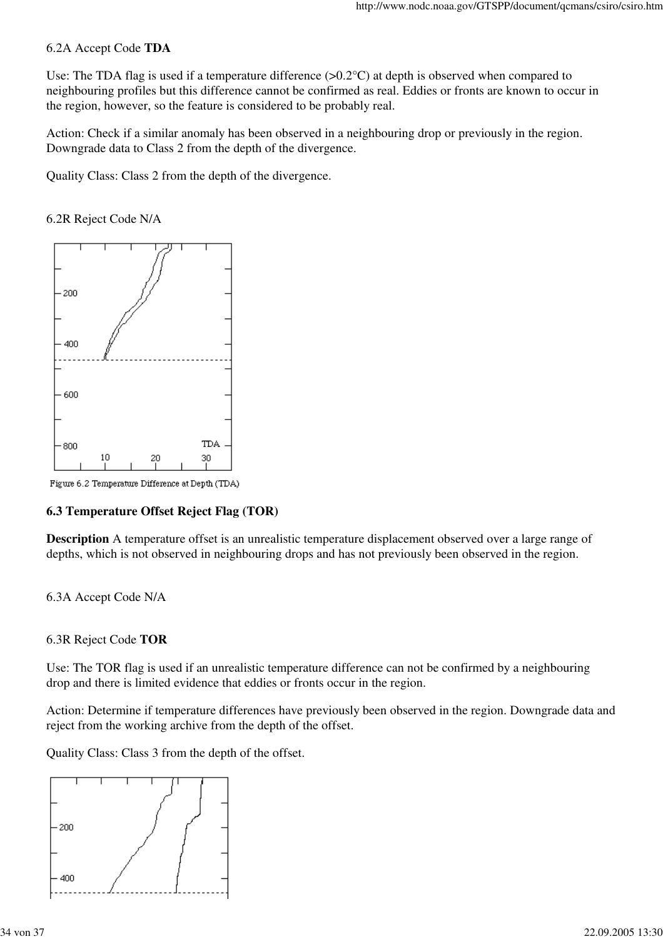#### 6.2A Accept Code **TDA**

Use: The TDA flag is used if a temperature difference (>0.2°C) at depth is observed when compared to neighbouring profiles but this difference cannot be confirmed as real. Eddies or fronts are known to occur in the region, however, so the feature is considered to be probably real.

Action: Check if a similar anomaly has been observed in a neighbouring drop or previously in the region. Downgrade data to Class 2 from the depth of the divergence.

Quality Class: Class 2 from the depth of the divergence.





Figure 6.2 Temperature Difference at Depth (TDA)

#### **6.3 Temperature Offset Reject Flag (TOR)**

**Description** A temperature offset is an unrealistic temperature displacement observed over a large range of depths, which is not observed in neighbouring drops and has not previously been observed in the region.

#### 6.3A Accept Code N/A

#### 6.3R Reject Code **TOR**

Use: The TOR flag is used if an unrealistic temperature difference can not be confirmed by a neighbouring drop and there is limited evidence that eddies or fronts occur in the region.

Action: Determine if temperature differences have previously been observed in the region. Downgrade data and reject from the working archive from the depth of the offset.

Quality Class: Class 3 from the depth of the offset.

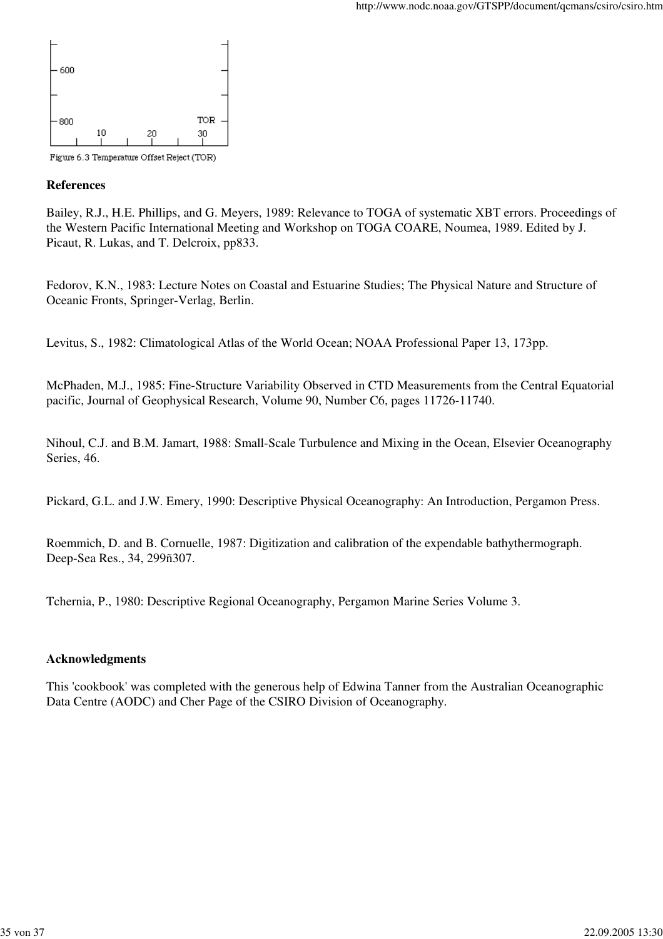

#### **References**

Bailey, R.J., H.E. Phillips, and G. Meyers, 1989: Relevance to TOGA of systematic XBT errors. Proceedings of the Western Pacific International Meeting and Workshop on TOGA COARE, Noumea, 1989. Edited by J. Picaut, R. Lukas, and T. Delcroix, pp833.

Fedorov, K.N., 1983: Lecture Notes on Coastal and Estuarine Studies; The Physical Nature and Structure of Oceanic Fronts, Springer-Verlag, Berlin.

Levitus, S., 1982: Climatological Atlas of the World Ocean; NOAA Professional Paper 13, 173pp.

McPhaden, M.J., 1985: Fine-Structure Variability Observed in CTD Measurements from the Central Equatorial pacific, Journal of Geophysical Research, Volume 90, Number C6, pages 11726-11740.

Nihoul, C.J. and B.M. Jamart, 1988: Small-Scale Turbulence and Mixing in the Ocean, Elsevier Oceanography Series, 46.

Pickard, G.L. and J.W. Emery, 1990: Descriptive Physical Oceanography: An Introduction, Pergamon Press.

Roemmich, D. and B. Cornuelle, 1987: Digitization and calibration of the expendable bathythermograph. Deep-Sea Res., 34, 299ñ307.

Tchernia, P., 1980: Descriptive Regional Oceanography, Pergamon Marine Series Volume 3.

#### **Acknowledgments**

This 'cookbook' was completed with the generous help of Edwina Tanner from the Australian Oceanographic Data Centre (AODC) and Cher Page of the CSIRO Division of Oceanography.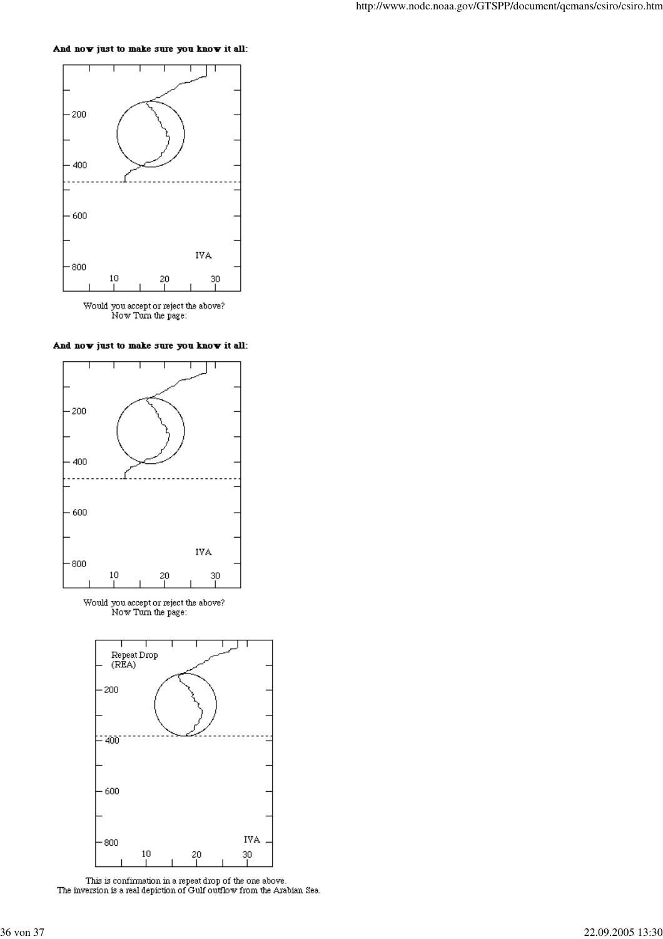#### And now just to make sure you know it all:





And now just to make sure you know it all:



 $\begin{array}{c} \text{Would you accept or reject the above?}\\ \text{Now Turn the page:} \end{array}$ 



 $\label{thm:main} \hbox{This is confirmation in a repeat drop of the one above.}$  <br> The inversion is a real depiction of Gulf outflow from the Arabian Sea.